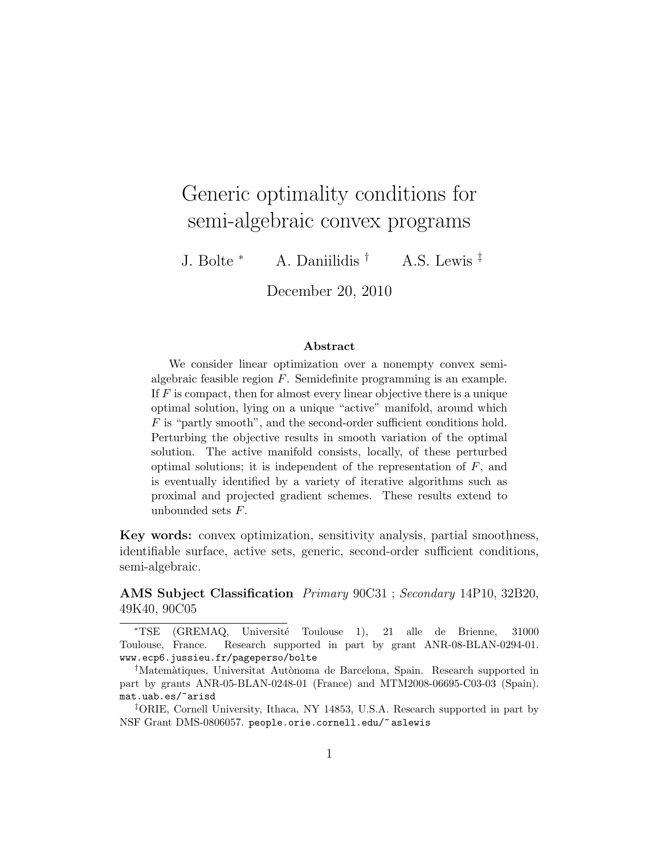# Generic optimality conditions for semi-algebraic convex programs

J. Bolte  $*$  A. Daniilidis  $\dagger$  A.S. Lewis  $\ddagger$ 

December 20, 2010

#### Abstract

We consider linear optimization over a nonempty convex semialgebraic feasible region F. Semidefinite programming is an example. If  $F$  is compact, then for almost every linear objective there is a unique optimal solution, lying on a unique "active" manifold, around which  $F$  is "partly smooth", and the second-order sufficient conditions hold. Perturbing the objective results in smooth variation of the optimal solution. The active manifold consists, locally, of these perturbed optimal solutions; it is independent of the representation of  $F$ , and is eventually identified by a variety of iterative algorithms such as proximal and projected gradient schemes. These results extend to unbounded sets  $F$ .

Key words: convex optimization, sensitivity analysis, partial smoothness, identifiable surface, active sets, generic, second-order sufficient conditions, semi-algebraic.

AMS Subject Classification Primary 90C31 ; Secondary 14P10, 32B20, 49K40, 90C05

<sup>∗</sup>TSE (GREMAQ, Universit´e Toulouse 1), 21 alle de Brienne, 31000 Toulouse, France. Research supported in part by grant ANR-08-BLAN-0294-01. www.ecp6.jussieu.fr/pageperso/bolte

<sup>&</sup>lt;sup>†</sup>Matemàtiques, Universitat Autònoma de Barcelona, Spain. Research supported in part by grants ANR-05-BLAN-0248-01 (France) and MTM2008-06695-C03-03 (Spain). mat.uab.es/~arisd

<sup>‡</sup>ORIE, Cornell University, Ithaca, NY 14853, U.S.A. Research supported in part by NSF Grant DMS-0806057. people.orie.cornell.edu/~ aslewis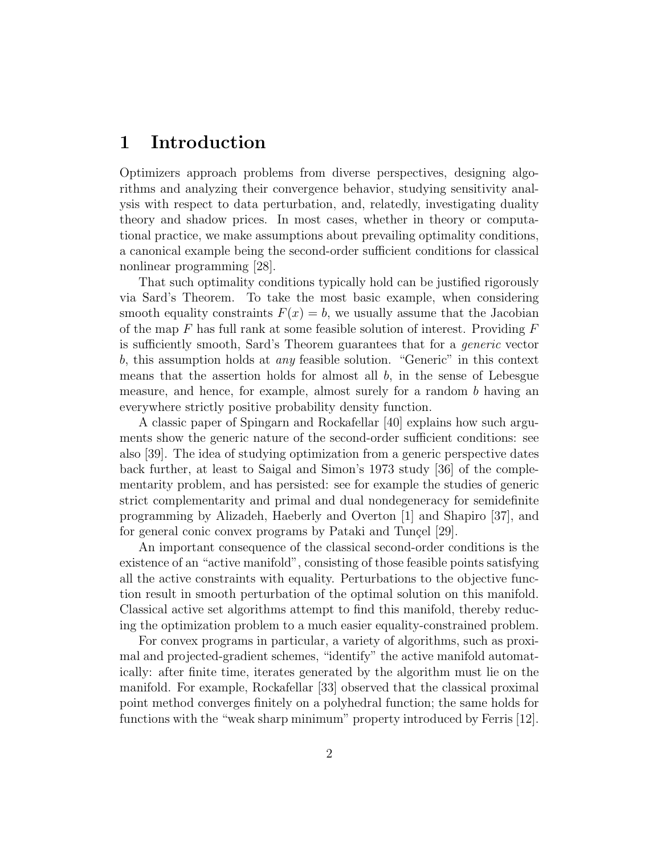# 1 Introduction

Optimizers approach problems from diverse perspectives, designing algorithms and analyzing their convergence behavior, studying sensitivity analysis with respect to data perturbation, and, relatedly, investigating duality theory and shadow prices. In most cases, whether in theory or computational practice, we make assumptions about prevailing optimality conditions, a canonical example being the second-order sufficient conditions for classical nonlinear programming [28].

That such optimality conditions typically hold can be justified rigorously via Sard's Theorem. To take the most basic example, when considering smooth equality constraints  $F(x) = b$ , we usually assume that the Jacobian of the map  $F$  has full rank at some feasible solution of interest. Providing  $F$ is sufficiently smooth, Sard's Theorem guarantees that for a generic vector b, this assumption holds at any feasible solution. "Generic" in this context means that the assertion holds for almost all  $b$ , in the sense of Lebesgue measure, and hence, for example, almost surely for a random b having an everywhere strictly positive probability density function.

A classic paper of Spingarn and Rockafellar [40] explains how such arguments show the generic nature of the second-order sufficient conditions: see also [39]. The idea of studying optimization from a generic perspective dates back further, at least to Saigal and Simon's 1973 study [36] of the complementarity problem, and has persisted: see for example the studies of generic strict complementarity and primal and dual nondegeneracy for semidefinite programming by Alizadeh, Haeberly and Overton [1] and Shapiro [37], and for general conic convex programs by Pataki and Tuncel [29].

An important consequence of the classical second-order conditions is the existence of an "active manifold", consisting of those feasible points satisfying all the active constraints with equality. Perturbations to the objective function result in smooth perturbation of the optimal solution on this manifold. Classical active set algorithms attempt to find this manifold, thereby reducing the optimization problem to a much easier equality-constrained problem.

For convex programs in particular, a variety of algorithms, such as proximal and projected-gradient schemes, "identify" the active manifold automatically: after finite time, iterates generated by the algorithm must lie on the manifold. For example, Rockafellar [33] observed that the classical proximal point method converges finitely on a polyhedral function; the same holds for functions with the "weak sharp minimum" property introduced by Ferris [12].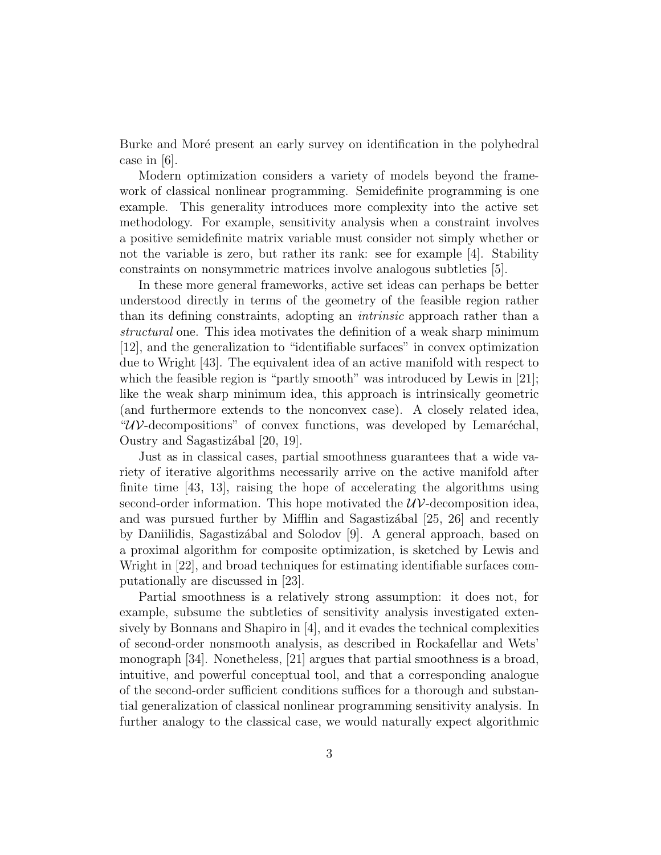Burke and Moré present an early survey on identification in the polyhedral case in [6].

Modern optimization considers a variety of models beyond the framework of classical nonlinear programming. Semidefinite programming is one example. This generality introduces more complexity into the active set methodology. For example, sensitivity analysis when a constraint involves a positive semidefinite matrix variable must consider not simply whether or not the variable is zero, but rather its rank: see for example [4]. Stability constraints on nonsymmetric matrices involve analogous subtleties [5].

In these more general frameworks, active set ideas can perhaps be better understood directly in terms of the geometry of the feasible region rather than its defining constraints, adopting an intrinsic approach rather than a structural one. This idea motivates the definition of a weak sharp minimum [12], and the generalization to "identifiable surfaces" in convex optimization due to Wright [43]. The equivalent idea of an active manifold with respect to which the feasible region is "partly smooth" was introduced by Lewis in [21]; like the weak sharp minimum idea, this approach is intrinsically geometric (and furthermore extends to the nonconvex case). A closely related idea,  $\mathcal{W}$ -decompositions" of convex functions, was developed by Lemaréchal, Oustry and Sagastizábal [20, 19].

Just as in classical cases, partial smoothness guarantees that a wide variety of iterative algorithms necessarily arrive on the active manifold after finite time [43, 13], raising the hope of accelerating the algorithms using second-order information. This hope motivated the  $\mathcal{U} \mathcal{V}$ -decomposition idea, and was pursued further by Mifflin and Sagastizational  $[25, 26]$  and recently by Daniilidis, Sagastizábal and Solodov [9]. A general approach, based on a proximal algorithm for composite optimization, is sketched by Lewis and Wright in [22], and broad techniques for estimating identifiable surfaces computationally are discussed in [23].

Partial smoothness is a relatively strong assumption: it does not, for example, subsume the subtleties of sensitivity analysis investigated extensively by Bonnans and Shapiro in [4], and it evades the technical complexities of second-order nonsmooth analysis, as described in Rockafellar and Wets' monograph [34]. Nonetheless, [21] argues that partial smoothness is a broad, intuitive, and powerful conceptual tool, and that a corresponding analogue of the second-order sufficient conditions suffices for a thorough and substantial generalization of classical nonlinear programming sensitivity analysis. In further analogy to the classical case, we would naturally expect algorithmic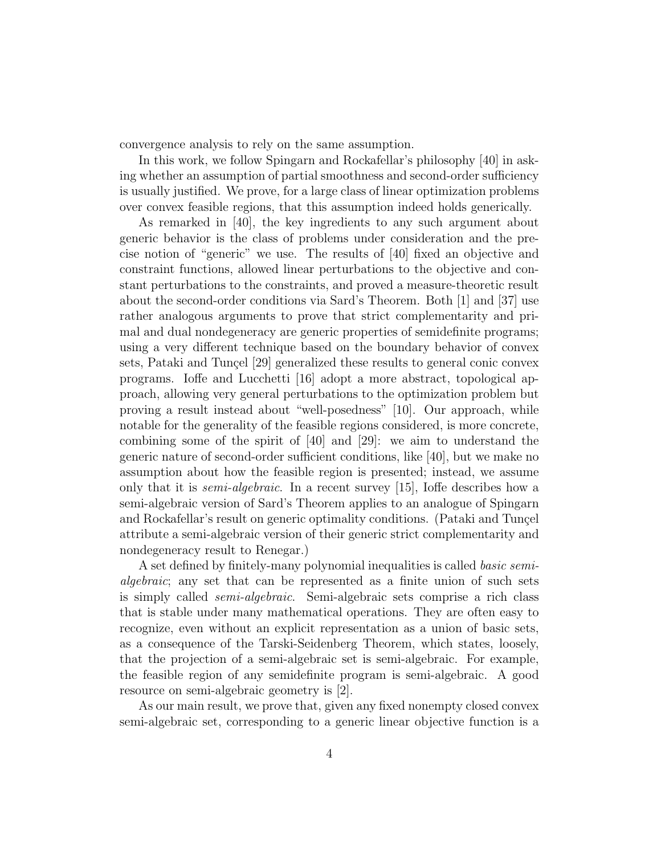convergence analysis to rely on the same assumption.

In this work, we follow Spingarn and Rockafellar's philosophy [40] in asking whether an assumption of partial smoothness and second-order sufficiency is usually justified. We prove, for a large class of linear optimization problems over convex feasible regions, that this assumption indeed holds generically.

As remarked in [40], the key ingredients to any such argument about generic behavior is the class of problems under consideration and the precise notion of "generic" we use. The results of [40] fixed an objective and constraint functions, allowed linear perturbations to the objective and constant perturbations to the constraints, and proved a measure-theoretic result about the second-order conditions via Sard's Theorem. Both [1] and [37] use rather analogous arguments to prove that strict complementarity and primal and dual nondegeneracy are generic properties of semidefinite programs; using a very different technique based on the boundary behavior of convex sets, Pataki and Tunçel [29] generalized these results to general conic convex programs. Ioffe and Lucchetti [16] adopt a more abstract, topological approach, allowing very general perturbations to the optimization problem but proving a result instead about "well-posedness" [10]. Our approach, while notable for the generality of the feasible regions considered, is more concrete, combining some of the spirit of [40] and [29]: we aim to understand the generic nature of second-order sufficient conditions, like [40], but we make no assumption about how the feasible region is presented; instead, we assume only that it is semi-algebraic. In a recent survey [15], Ioffe describes how a semi-algebraic version of Sard's Theorem applies to an analogue of Spingarn and Rockafellar's result on generic optimality conditions. (Pataki and Tunçel attribute a semi-algebraic version of their generic strict complementarity and nondegeneracy result to Renegar.)

A set defined by finitely-many polynomial inequalities is called basic semialgebraic; any set that can be represented as a finite union of such sets is simply called semi-algebraic. Semi-algebraic sets comprise a rich class that is stable under many mathematical operations. They are often easy to recognize, even without an explicit representation as a union of basic sets, as a consequence of the Tarski-Seidenberg Theorem, which states, loosely, that the projection of a semi-algebraic set is semi-algebraic. For example, the feasible region of any semidefinite program is semi-algebraic. A good resource on semi-algebraic geometry is [2].

As our main result, we prove that, given any fixed nonempty closed convex semi-algebraic set, corresponding to a generic linear objective function is a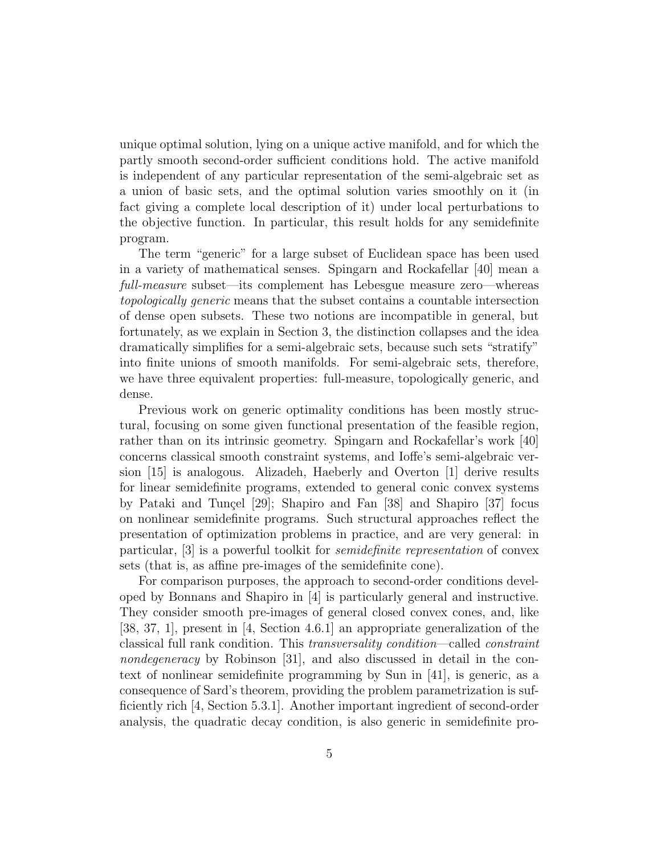unique optimal solution, lying on a unique active manifold, and for which the partly smooth second-order sufficient conditions hold. The active manifold is independent of any particular representation of the semi-algebraic set as a union of basic sets, and the optimal solution varies smoothly on it (in fact giving a complete local description of it) under local perturbations to the objective function. In particular, this result holds for any semidefinite program.

The term "generic" for a large subset of Euclidean space has been used in a variety of mathematical senses. Spingarn and Rockafellar [40] mean a full-measure subset—its complement has Lebesgue measure zero—whereas topologically generic means that the subset contains a countable intersection of dense open subsets. These two notions are incompatible in general, but fortunately, as we explain in Section 3, the distinction collapses and the idea dramatically simplifies for a semi-algebraic sets, because such sets "stratify" into finite unions of smooth manifolds. For semi-algebraic sets, therefore, we have three equivalent properties: full-measure, topologically generic, and dense.

Previous work on generic optimality conditions has been mostly structural, focusing on some given functional presentation of the feasible region, rather than on its intrinsic geometry. Spingarn and Rockafellar's work [40] concerns classical smooth constraint systems, and Ioffe's semi-algebraic version [15] is analogous. Alizadeh, Haeberly and Overton [1] derive results for linear semidefinite programs, extended to general conic convex systems by Pataki and Tunçel  $[29]$ ; Shapiro and Fan  $[38]$  and Shapiro  $[37]$  focus on nonlinear semidefinite programs. Such structural approaches reflect the presentation of optimization problems in practice, and are very general: in particular, [3] is a powerful toolkit for semidefinite representation of convex sets (that is, as affine pre-images of the semidefinite cone).

For comparison purposes, the approach to second-order conditions developed by Bonnans and Shapiro in [4] is particularly general and instructive. They consider smooth pre-images of general closed convex cones, and, like [38, 37, 1], present in [4, Section 4.6.1] an appropriate generalization of the classical full rank condition. This transversality condition—called constraint nondegeneracy by Robinson [31], and also discussed in detail in the context of nonlinear semidefinite programming by Sun in [41], is generic, as a consequence of Sard's theorem, providing the problem parametrization is sufficiently rich [4, Section 5.3.1]. Another important ingredient of second-order analysis, the quadratic decay condition, is also generic in semidefinite pro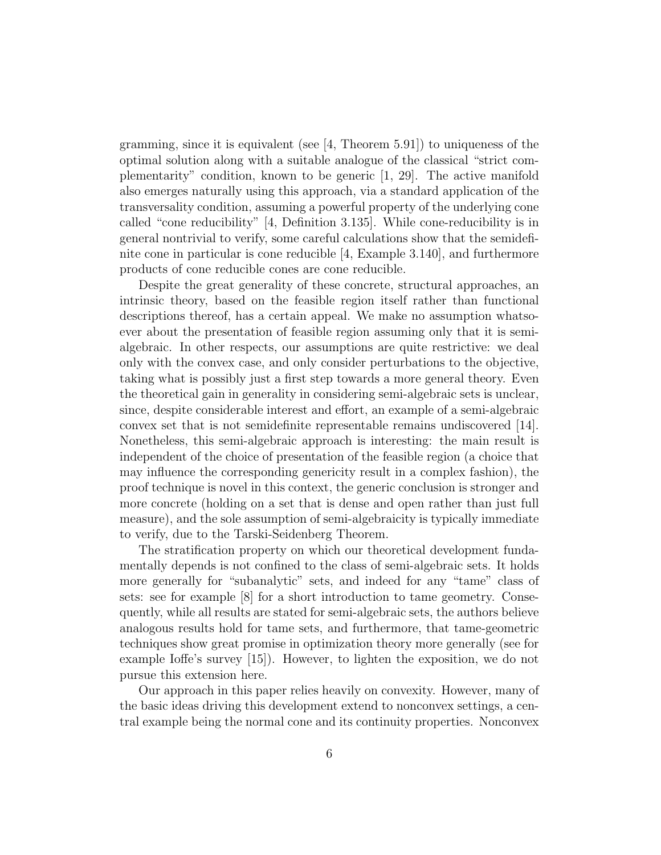gramming, since it is equivalent (see  $[4,$  Theorem 5.91]) to uniqueness of the optimal solution along with a suitable analogue of the classical "strict complementarity" condition, known to be generic [1, 29]. The active manifold also emerges naturally using this approach, via a standard application of the transversality condition, assuming a powerful property of the underlying cone called "cone reducibility" [4, Definition 3.135]. While cone-reducibility is in general nontrivial to verify, some careful calculations show that the semidefinite cone in particular is cone reducible [4, Example 3.140], and furthermore products of cone reducible cones are cone reducible.

Despite the great generality of these concrete, structural approaches, an intrinsic theory, based on the feasible region itself rather than functional descriptions thereof, has a certain appeal. We make no assumption whatsoever about the presentation of feasible region assuming only that it is semialgebraic. In other respects, our assumptions are quite restrictive: we deal only with the convex case, and only consider perturbations to the objective, taking what is possibly just a first step towards a more general theory. Even the theoretical gain in generality in considering semi-algebraic sets is unclear, since, despite considerable interest and effort, an example of a semi-algebraic convex set that is not semidefinite representable remains undiscovered [14]. Nonetheless, this semi-algebraic approach is interesting: the main result is independent of the choice of presentation of the feasible region (a choice that may influence the corresponding genericity result in a complex fashion), the proof technique is novel in this context, the generic conclusion is stronger and more concrete (holding on a set that is dense and open rather than just full measure), and the sole assumption of semi-algebraicity is typically immediate to verify, due to the Tarski-Seidenberg Theorem.

The stratification property on which our theoretical development fundamentally depends is not confined to the class of semi-algebraic sets. It holds more generally for "subanalytic" sets, and indeed for any "tame" class of sets: see for example [8] for a short introduction to tame geometry. Consequently, while all results are stated for semi-algebraic sets, the authors believe analogous results hold for tame sets, and furthermore, that tame-geometric techniques show great promise in optimization theory more generally (see for example Ioffe's survey [15]). However, to lighten the exposition, we do not pursue this extension here.

Our approach in this paper relies heavily on convexity. However, many of the basic ideas driving this development extend to nonconvex settings, a central example being the normal cone and its continuity properties. Nonconvex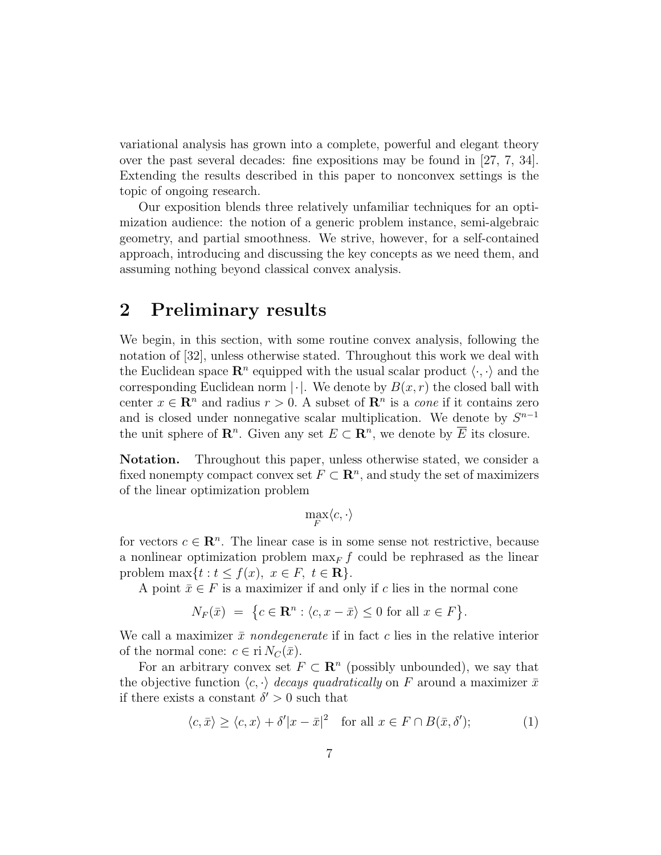variational analysis has grown into a complete, powerful and elegant theory over the past several decades: fine expositions may be found in [27, 7, 34]. Extending the results described in this paper to nonconvex settings is the topic of ongoing research.

Our exposition blends three relatively unfamiliar techniques for an optimization audience: the notion of a generic problem instance, semi-algebraic geometry, and partial smoothness. We strive, however, for a self-contained approach, introducing and discussing the key concepts as we need them, and assuming nothing beyond classical convex analysis.

### 2 Preliminary results

We begin, in this section, with some routine convex analysis, following the notation of [32], unless otherwise stated. Throughout this work we deal with the Euclidean space  $\mathbb{R}^n$  equipped with the usual scalar product  $\langle \cdot, \cdot \rangle$  and the corresponding Euclidean norm  $|\cdot|$ . We denote by  $B(x, r)$  the closed ball with center  $x \in \mathbb{R}^n$  and radius  $r > 0$ . A subset of  $\mathbb{R}^n$  is a *cone* if it contains zero and is closed under nonnegative scalar multiplication. We denote by  $S^{n-1}$ the unit sphere of  $\mathbf{R}^n$ . Given any set  $E \subset \mathbf{R}^n$ , we denote by  $\overline{E}$  its closure.

Notation. Throughout this paper, unless otherwise stated, we consider a fixed nonempty compact convex set  $F \subset \mathbb{R}^n$ , and study the set of maximizers of the linear optimization problem

$$
\max_F \langle c, \cdot \rangle
$$

for vectors  $c \in \mathbb{R}^n$ . The linear case is in some sense not restrictive, because a nonlinear optimization problem  $\max_F f$  could be rephrased as the linear problem max $\{t : t \leq f(x), \ x \in F, \ t \in \mathbf{R}\}.$ 

A point  $\bar{x} \in F$  is a maximizer if and only if c lies in the normal cone

$$
N_F(\bar{x}) = \{c \in \mathbf{R}^n : \langle c, x - \bar{x} \rangle \le 0 \text{ for all } x \in F\}.
$$

We call a maximizer  $\bar{x}$  nondegenerate if in fact c lies in the relative interior of the normal cone:  $c \in \text{ri } N_C(\bar{x})$ .

For an arbitrary convex set  $F \subset \mathbb{R}^n$  (possibly unbounded), we say that the objective function  $\langle c, \cdot \rangle$  decays quadratically on F around a maximizer  $\bar{x}$ if there exists a constant  $\delta' > 0$  such that

$$
\langle c, \bar{x} \rangle \ge \langle c, x \rangle + \delta' |x - \bar{x}|^2 \quad \text{for all } x \in F \cap B(\bar{x}, \delta'); \tag{1}
$$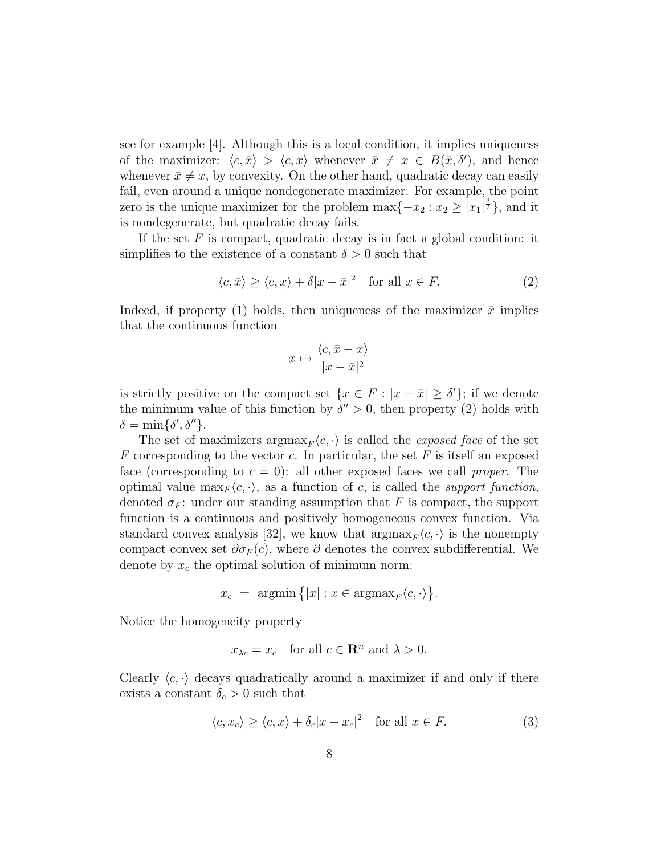see for example [4]. Although this is a local condition, it implies uniqueness of the maximizer:  $\langle c, \bar{x} \rangle > \langle c, x \rangle$  whenever  $\bar{x} \neq x \in B(\bar{x}, \delta')$ , and hence whenever  $\bar{x} \neq x$ , by convexity. On the other hand, quadratic decay can easily fail, even around a unique nondegenerate maximizer. For example, the point zero is the unique maximizer for the problem  $\max\{-x_2 : x_2 \ge |x_1|^{\frac{3}{2}}\}$ , and it is nondegenerate, but quadratic decay fails.

If the set  $F$  is compact, quadratic decay is in fact a global condition: it simplifies to the existence of a constant  $\delta > 0$  such that

$$
\langle c, \bar{x} \rangle \ge \langle c, x \rangle + \delta |x - \bar{x}|^2 \quad \text{for all } x \in F. \tag{2}
$$

Indeed, if property (1) holds, then uniqueness of the maximizer  $\bar{x}$  implies that the continuous function

$$
x \mapsto \frac{\langle c, \bar{x} - x \rangle}{|x - \bar{x}|^2}
$$

is strictly positive on the compact set  $\{x \in F : |x - \bar{x}| \ge \delta'\};$  if we denote the minimum value of this function by  $\delta'' > 0$ , then property (2) holds with  $\delta = \min{\{\delta', \delta''\}}$ .

The set of maximizers  $\arg\max_{F} \langle c, \cdot \rangle$  is called the *exposed face* of the set  $F$  corresponding to the vector c. In particular, the set  $F$  is itself an exposed face (corresponding to  $c = 0$ ): all other exposed faces we call proper. The optimal value  $\max_F \langle c, \cdot \rangle$ , as a function of c, is called the support function, denoted  $\sigma_F$ : under our standing assumption that F is compact, the support function is a continuous and positively homogeneous convex function. Via standard convex analysis [32], we know that  $\operatorname{argmax}_F \langle c, \cdot \rangle$  is the nonempty compact convex set  $\partial \sigma_F(c)$ , where  $\partial$  denotes the convex subdifferential. We denote by  $x_c$  the optimal solution of minimum norm:

$$
x_c = \operatorname{argmin} \{|x| : x \in \operatorname{argmax}_F \langle c, \cdot \rangle\}.
$$

Notice the homogeneity property

$$
x_{\lambda c} = x_c
$$
 for all  $c \in \mathbb{R}^n$  and  $\lambda > 0$ .

Clearly  $\langle c, \cdot \rangle$  decays quadratically around a maximizer if and only if there exists a constant  $\delta_c > 0$  such that

$$
\langle c, x_c \rangle \ge \langle c, x \rangle + \delta_c |x - x_c|^2 \quad \text{for all } x \in F. \tag{3}
$$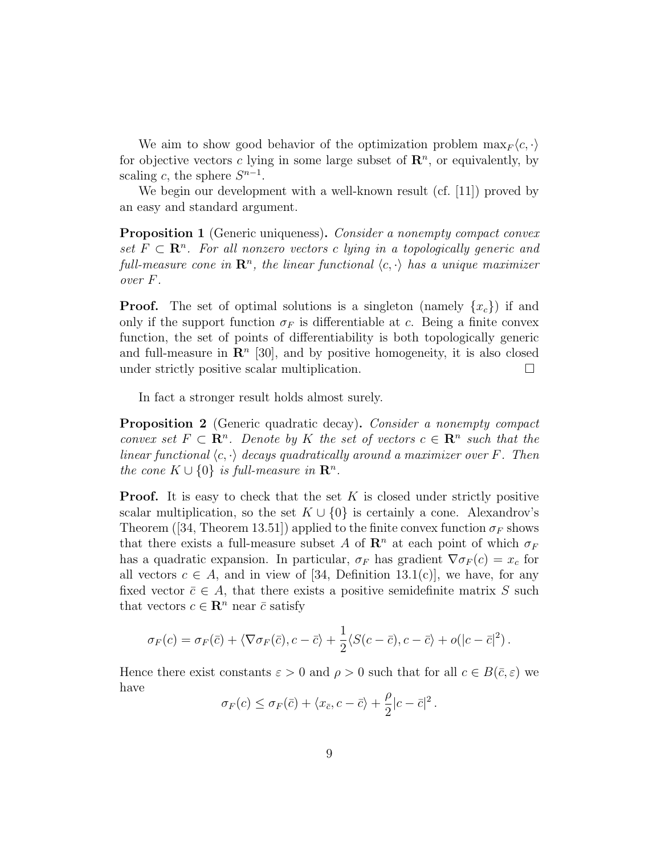We aim to show good behavior of the optimization problem  $\max_F \langle c, \cdot \rangle$ for objective vectors c lying in some large subset of  $\mathbb{R}^n$ , or equivalently, by scaling c, the sphere  $S^{n-1}$ .

We begin our development with a well-known result (cf. [11]) proved by an easy and standard argument.

Proposition 1 (Generic uniqueness). Consider a nonempty compact convex set  $F \subset \mathbb{R}^n$ . For all nonzero vectors c lying in a topologically generic and full-measure cone in  $\mathbf{R}^n$ , the linear functional  $\langle c, \cdot \rangle$  has a unique maximizer over F.

**Proof.** The set of optimal solutions is a singleton (namely  $\{x_c\}$ ) if and only if the support function  $\sigma_F$  is differentiable at c. Being a finite convex function, the set of points of differentiability is both topologically generic and full-measure in  $\mathbb{R}^n$  [30], and by positive homogeneity, it is also closed under strictly positive scalar multiplication.  $\Box$ 

In fact a stronger result holds almost surely.

Proposition 2 (Generic quadratic decay). Consider a nonempty compact convex set  $F \subset \mathbb{R}^n$ . Denote by K the set of vectors  $c \in \mathbb{R}^n$  such that the linear functional  $\langle c, \cdot \rangle$  decays quadratically around a maximizer over F. Then the cone  $K \cup \{0\}$  is full-measure in  $\mathbb{R}^n$ .

**Proof.** It is easy to check that the set  $K$  is closed under strictly positive scalar multiplication, so the set  $K \cup \{0\}$  is certainly a cone. Alexandrov's Theorem ([34, Theorem 13.51]) applied to the finite convex function  $\sigma_F$  shows that there exists a full-measure subset A of  $\mathbb{R}^n$  at each point of which  $\sigma_F$ has a quadratic expansion. In particular,  $\sigma_F$  has gradient  $\nabla \sigma_F(c) = x_c$  for all vectors  $c \in A$ , and in view of [34, Definition 13.1(c)], we have, for any fixed vector  $\bar{c} \in A$ , that there exists a positive semidefinite matrix S such that vectors  $c \in \mathbb{R}^n$  near  $\bar{c}$  satisfy

$$
\sigma_F(c) = \sigma_F(\bar{c}) + \langle \nabla \sigma_F(\bar{c}), c - \bar{c} \rangle + \frac{1}{2} \langle S(c - \bar{c}), c - \bar{c} \rangle + o(|c - \bar{c}|^2).
$$

Hence there exist constants  $\varepsilon > 0$  and  $\rho > 0$  such that for all  $c \in B(\bar{c}, \varepsilon)$  we have

$$
\sigma_F(c) \leq \sigma_F(\bar{c}) + \langle x_{\bar{c}}, c - \bar{c} \rangle + \frac{\rho}{2}|c - \bar{c}|^2.
$$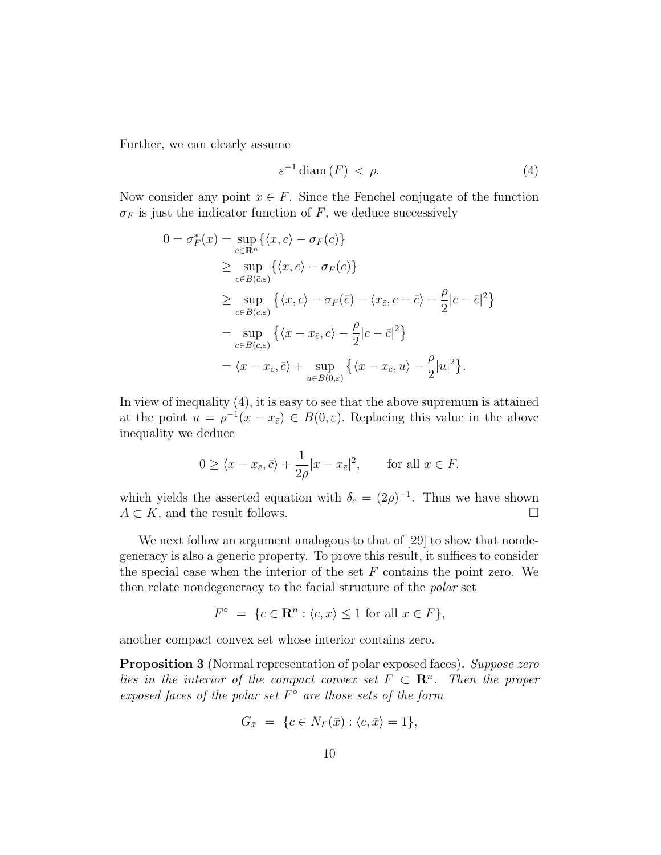Further, we can clearly assume

$$
\varepsilon^{-1}\operatorname{diam}\left(F\right) < \rho. \tag{4}
$$

Now consider any point  $x \in F$ . Since the Fenchel conjugate of the function  $\sigma_F$  is just the indicator function of F, we deduce successively

$$
0 = \sigma_F^*(x) = \sup_{c \in \mathbf{R}^n} \{ \langle x, c \rangle - \sigma_F(c) \}
$$
  
\n
$$
\geq \sup_{c \in B(\bar{c}, \varepsilon)} \{ \langle x, c \rangle - \sigma_F(c) \}
$$
  
\n
$$
\geq \sup_{c \in B(\bar{c}, \varepsilon)} \{ \langle x, c \rangle - \sigma_F(\bar{c}) - \langle x_{\bar{c}}, c - \bar{c} \rangle - \frac{\rho}{2} |c - \bar{c}|^2 \}
$$
  
\n
$$
= \sup_{c \in B(\bar{c}, \varepsilon)} \{ \langle x - x_{\bar{c}}, c \rangle - \frac{\rho}{2} |c - \bar{c}|^2 \}
$$
  
\n
$$
= \langle x - x_{\bar{c}}, \bar{c} \rangle + \sup_{u \in B(0, \varepsilon)} \{ \langle x - x_{\bar{c}}, u \rangle - \frac{\rho}{2} |u|^2 \}.
$$

In view of inequality (4), it is easy to see that the above supremum is attained at the point  $u = \rho^{-1}(x - x_{\bar{c}}) \in B(0, \varepsilon)$ . Replacing this value in the above inequality we deduce

$$
0 \ge \langle x - x_{\bar{c}}, \bar{c} \rangle + \frac{1}{2\rho} |x - x_{\bar{c}}|^2, \quad \text{for all } x \in F.
$$

which yields the asserted equation with  $\delta_c = (2\rho)^{-1}$ . Thus we have shown  $A \subset K$ , and the result follows.

We next follow an argument analogous to that of [29] to show that nondegeneracy is also a generic property. To prove this result, it suffices to consider the special case when the interior of the set  $F$  contains the point zero. We then relate nondegeneracy to the facial structure of the polar set

$$
F^{\circ} = \{c \in \mathbf{R}^n : \langle c, x \rangle \le 1 \text{ for all } x \in F\},\
$$

another compact convex set whose interior contains zero.

**Proposition 3** (Normal representation of polar exposed faces). Suppose zero lies in the interior of the compact convex set  $F \subset \mathbb{R}^n$ . Then the proper exposed faces of the polar set  $F^{\circ}$  are those sets of the form

$$
G_{\bar{x}} = \{c \in N_F(\bar{x}) : \langle c, \bar{x} \rangle = 1\},\
$$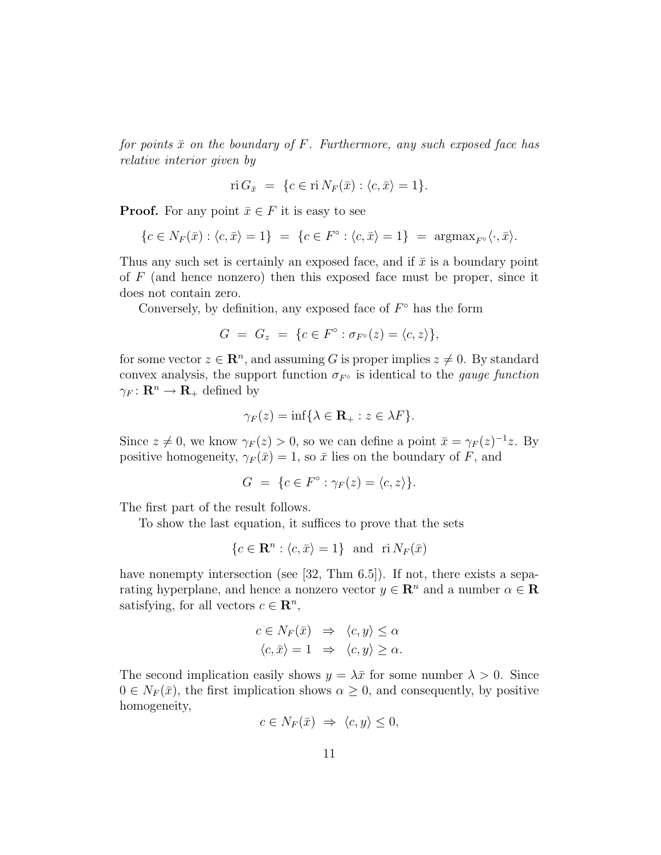for points  $\bar{x}$  on the boundary of F. Furthermore, any such exposed face has relative interior given by

$$
\text{ri } G_{\bar{x}} = \{c \in \text{ri } N_F(\bar{x}) : \langle c, \bar{x} \rangle = 1\}.
$$

**Proof.** For any point  $\bar{x} \in F$  it is easy to see

$$
\{c \in N_F(\bar{x}) : \langle c, \bar{x} \rangle = 1\} = \{c \in F^\circ : \langle c, \bar{x} \rangle = 1\} = \operatorname{argmax}_{F^\circ} \langle \cdot, \bar{x} \rangle.
$$

Thus any such set is certainly an exposed face, and if  $\bar{x}$  is a boundary point of  $F$  (and hence nonzero) then this exposed face must be proper, since it does not contain zero.

Conversely, by definition, any exposed face of  $F^{\circ}$  has the form

$$
G = G_z = \{c \in F^\circ : \sigma_{F^\circ}(z) = \langle c, z \rangle\},\
$$

for some vector  $z \in \mathbb{R}^n$ , and assuming G is proper implies  $z \neq 0$ . By standard convex analysis, the support function  $\sigma_{F^{\circ}}$  is identical to the *gauge function*  $\gamma_F: \mathbf{R}^n \to \mathbf{R}_+$  defined by

$$
\gamma_F(z) = \inf \{ \lambda \in \mathbf{R}_+ : z \in \lambda F \}.
$$

Since  $z \neq 0$ , we know  $\gamma_F(z) > 0$ , so we can define a point  $\bar{x} = \gamma_F(z)^{-1}z$ . By positive homogeneity,  $\gamma_F(\bar{x}) = 1$ , so  $\bar{x}$  lies on the boundary of F, and

$$
G = \{c \in F^{\circ} : \gamma_F(z) = \langle c, z \rangle\}.
$$

The first part of the result follows.

To show the last equation, it suffices to prove that the sets

$$
\{c \in \mathbf{R}^n : \langle c, \bar{x} \rangle = 1\} \text{ and } \text{ri } N_F(\bar{x})
$$

have nonempty intersection (see [32, Thm 6.5]). If not, there exists a separating hyperplane, and hence a nonzero vector  $y \in \mathbb{R}^n$  and a number  $\alpha \in \mathbb{R}$ satisfying, for all vectors  $c \in \mathbb{R}^n$ ,

$$
c \in N_F(\bar{x}) \Rightarrow \langle c, y \rangle \le \alpha
$$
  

$$
\langle c, \bar{x} \rangle = 1 \Rightarrow \langle c, y \rangle \ge \alpha.
$$

The second implication easily shows  $y = \lambda \bar{x}$  for some number  $\lambda > 0$ . Since  $0 \in N_F(\bar{x})$ , the first implication shows  $\alpha \geq 0$ , and consequently, by positive homogeneity,

$$
c \in N_F(\bar{x}) \implies \langle c, y \rangle \le 0,
$$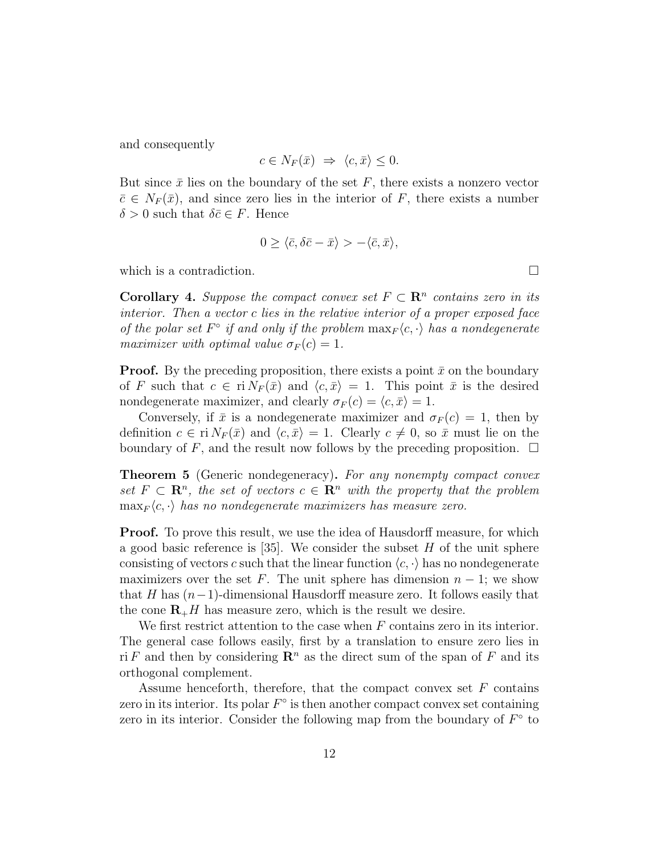and consequently

$$
c \in N_F(\bar{x}) \implies \langle c, \bar{x} \rangle \le 0.
$$

But since  $\bar{x}$  lies on the boundary of the set F, there exists a nonzero vector  $\bar{c} \in N_F(\bar{x})$ , and since zero lies in the interior of F, there exists a number  $\delta > 0$  such that  $\delta \bar{c} \in F$ . Hence

$$
0 \ge \langle \bar{c}, \delta \bar{c} - \bar{x} \rangle > -\langle \bar{c}, \bar{x} \rangle,
$$

which is a contradiction.  $\Box$ 

**Corollary 4.** Suppose the compact convex set  $F \subset \mathbb{R}^n$  contains zero in its interior. Then a vector c lies in the relative interior of a proper exposed face of the polar set  $F^{\circ}$  if and only if the problem  $\max_F \langle c, \cdot \rangle$  has a nondegenerate maximizer with optimal value  $\sigma_F(c) = 1$ .

**Proof.** By the preceding proposition, there exists a point  $\bar{x}$  on the boundary of F such that  $c \in \text{ri } N_F(\bar{x})$  and  $\langle c, \bar{x} \rangle = 1$ . This point  $\bar{x}$  is the desired nondegenerate maximizer, and clearly  $\sigma_F(c) = \langle c, \bar{x} \rangle = 1$ .

Conversely, if  $\bar{x}$  is a nondegenerate maximizer and  $\sigma_F(c) = 1$ , then by definition  $c \in \text{ri } N_F(\bar{x})$  and  $\langle c, \bar{x} \rangle = 1$ . Clearly  $c \neq 0$ , so  $\bar{x}$  must lie on the boundary of F, and the result now follows by the preceding proposition.  $\Box$ 

**Theorem 5** (Generic nondegeneracy). For any nonempty compact convex set  $F \subset \mathbb{R}^n$ , the set of vectors  $c \in \mathbb{R}^n$  with the property that the problem  $\max_F \langle c, \cdot \rangle$  has no nondegenerate maximizers has measure zero.

**Proof.** To prove this result, we use the idea of Hausdorff measure, for which a good basic reference is [35]. We consider the subset  $H$  of the unit sphere consisting of vectors c such that the linear function  $\langle c, \cdot \rangle$  has no nondegenerate maximizers over the set F. The unit sphere has dimension  $n-1$ ; we show that H has  $(n-1)$ -dimensional Hausdorff measure zero. It follows easily that the cone  $\mathbf{R}_{+}H$  has measure zero, which is the result we desire.

We first restrict attention to the case when  $F$  contains zero in its interior. The general case follows easily, first by a translation to ensure zero lies in ri F and then by considering  $\mathbb{R}^n$  as the direct sum of the span of F and its orthogonal complement.

Assume henceforth, therefore, that the compact convex set  $F$  contains zero in its interior. Its polar  $F^{\circ}$  is then another compact convex set containing zero in its interior. Consider the following map from the boundary of  $F^{\circ}$  to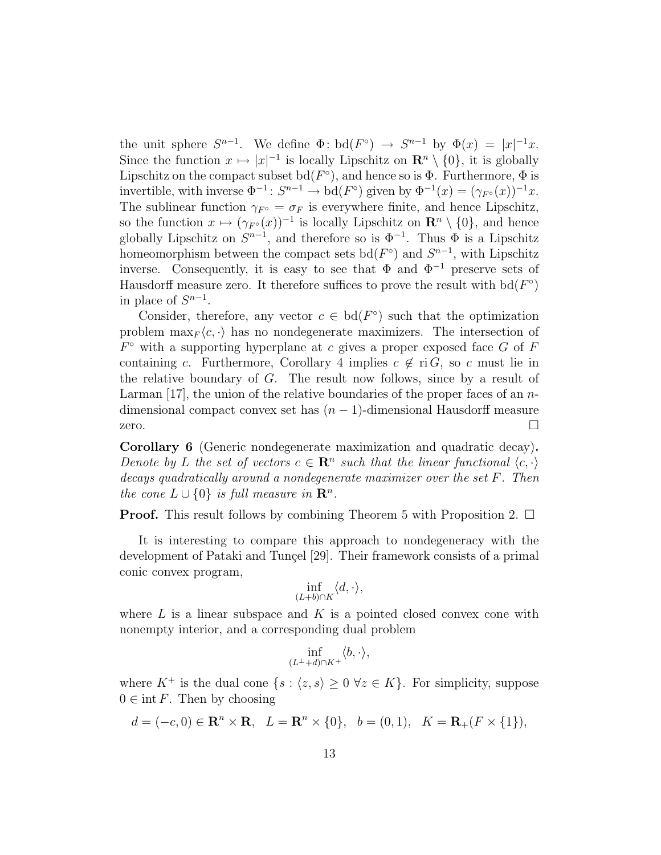the unit sphere  $S^{n-1}$ . We define  $\Phi: \mathrm{bd}(F^{\circ}) \to S^{n-1}$  by  $\Phi(x) = |x|^{-1}x$ . Since the function  $x \mapsto |x|^{-1}$  is locally Lipschitz on  $\mathbb{R}^n \setminus \{0\}$ , it is globally Lipschitz on the compact subset  $\text{bd}(F^{\circ})$ , and hence so is  $\Phi$ . Furthermore,  $\Phi$  is invertible, with inverse  $\Phi^{-1}$ :  $S^{n-1} \to \text{bd}(F^{\circ})$  given by  $\Phi^{-1}(x) = (\gamma_{F^{\circ}}(x))^{-1}x$ . The sublinear function  $\gamma_{F} \circ \sigma_F$  is everywhere finite, and hence Lipschitz, so the function  $x \mapsto (\gamma_{F} \circ (x))^{-1}$  is locally Lipschitz on  $\mathbb{R}^n \setminus \{0\}$ , and hence globally Lipschitz on  $S^{n-1}$ , and therefore so is  $\Phi^{-1}$ . Thus  $\Phi$  is a Lipschitz homeomorphism between the compact sets bd( $F^{\circ}$ ) and  $S^{n-1}$ , with Lipschitz inverse. Consequently, it is easy to see that  $\Phi$  and  $\Phi^{-1}$  preserve sets of Hausdorff measure zero. It therefore suffices to prove the result with  $\text{bd}(F^{\circ})$ in place of  $S^{n-1}$ .

Consider, therefore, any vector  $c \in bd(F^{\circ})$  such that the optimization problem  $\max_F \langle c, \cdot \rangle$  has no nondegenerate maximizers. The intersection of  $F^{\circ}$  with a supporting hyperplane at c gives a proper exposed face G of F containing c. Furthermore, Corollary 4 implies  $c \notin \text{ri } G$ , so c must lie in the relative boundary of G. The result now follows, since by a result of Larman [17], the union of the relative boundaries of the proper faces of an ndimensional compact convex set has  $(n - 1)$ -dimensional Hausdorff measure zero.  $\square$ 

Corollary 6 (Generic nondegenerate maximization and quadratic decay). Denote by L the set of vectors  $c \in \mathbb{R}^n$  such that the linear functional  $\langle c, \cdot \rangle$ decays quadratically around a nondegenerate maximizer over the set F. Then the cone  $L \cup \{0\}$  is full measure in  $\mathbb{R}^n$ .

**Proof.** This result follows by combining Theorem 5 with Proposition 2.  $\Box$ 

It is interesting to compare this approach to nondegeneracy with the development of Pataki and Tunçel [29]. Their framework consists of a primal conic convex program,

$$
\inf_{(L+b)\cap K}\langle d,\cdot\rangle,
$$

where  $L$  is a linear subspace and  $K$  is a pointed closed convex cone with nonempty interior, and a corresponding dual problem

$$
\inf_{(L^{\perp}+d)\cap K^+}\langle b,\cdot\rangle,
$$

where  $K^+$  is the dual cone  $\{s : \langle z, s \rangle \geq 0 \ \forall z \in K\}$ . For simplicity, suppose  $0 \in \text{int } F$ . Then by choosing

$$
d = (-c, 0) \in \mathbf{R}^n \times \mathbf{R}, \quad L = \mathbf{R}^n \times \{0\}, \quad b = (0, 1), \quad K = \mathbf{R}_+(F \times \{1\}),
$$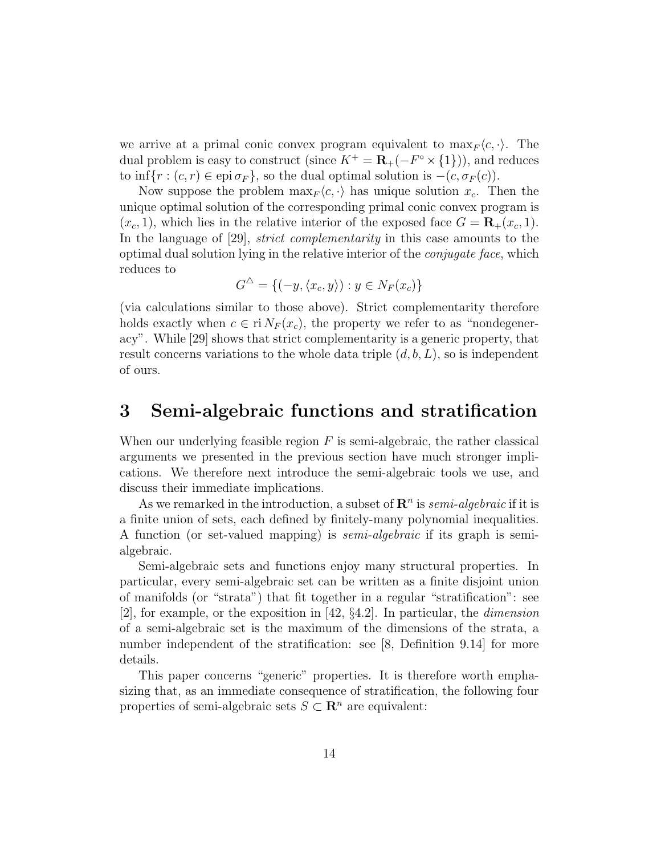we arrive at a primal conic convex program equivalent to  $\max_F \langle c, \cdot \rangle$ . The dual problem is easy to construct (since  $K^+ = \mathbf{R}_+(-F^{\circ} \times \{1\})$ ), and reduces to inf{ $r : (c, r) \in \text{epi } \sigma_F$ }, so the dual optimal solution is  $-(c, \sigma_F(c))$ .

Now suppose the problem  $\max_F \langle c, \cdot \rangle$  has unique solution  $x_c$ . Then the unique optimal solution of the corresponding primal conic convex program is  $(x_c, 1)$ , which lies in the relative interior of the exposed face  $G = \mathbf{R}_+(x_c, 1)$ . In the language of [29], *strict complementarity* in this case amounts to the optimal dual solution lying in the relative interior of the conjugate face, which reduces to

$$
G^{\triangle} = \{(-y, \langle x_c, y \rangle) : y \in N_F(x_c)\}
$$

(via calculations similar to those above). Strict complementarity therefore holds exactly when  $c \in \text{ri } N_F(x_c)$ , the property we refer to as "nondegeneracy". While [29] shows that strict complementarity is a generic property, that result concerns variations to the whole data triple  $(d, b, L)$ , so is independent of ours.

# 3 Semi-algebraic functions and stratification

When our underlying feasible region  $F$  is semi-algebraic, the rather classical arguments we presented in the previous section have much stronger implications. We therefore next introduce the semi-algebraic tools we use, and discuss their immediate implications.

As we remarked in the introduction, a subset of  $\mathbb{R}^n$  is *semi-algebraic* if it is a finite union of sets, each defined by finitely-many polynomial inequalities. A function (or set-valued mapping) is semi-algebraic if its graph is semialgebraic.

Semi-algebraic sets and functions enjoy many structural properties. In particular, every semi-algebraic set can be written as a finite disjoint union of manifolds (or "strata") that fit together in a regular "stratification": see [2], for example, or the exposition in [42, §4.2]. In particular, the dimension of a semi-algebraic set is the maximum of the dimensions of the strata, a number independent of the stratification: see [8, Definition 9.14] for more details.

This paper concerns "generic" properties. It is therefore worth emphasizing that, as an immediate consequence of stratification, the following four properties of semi-algebraic sets  $S \subset \mathbb{R}^n$  are equivalent: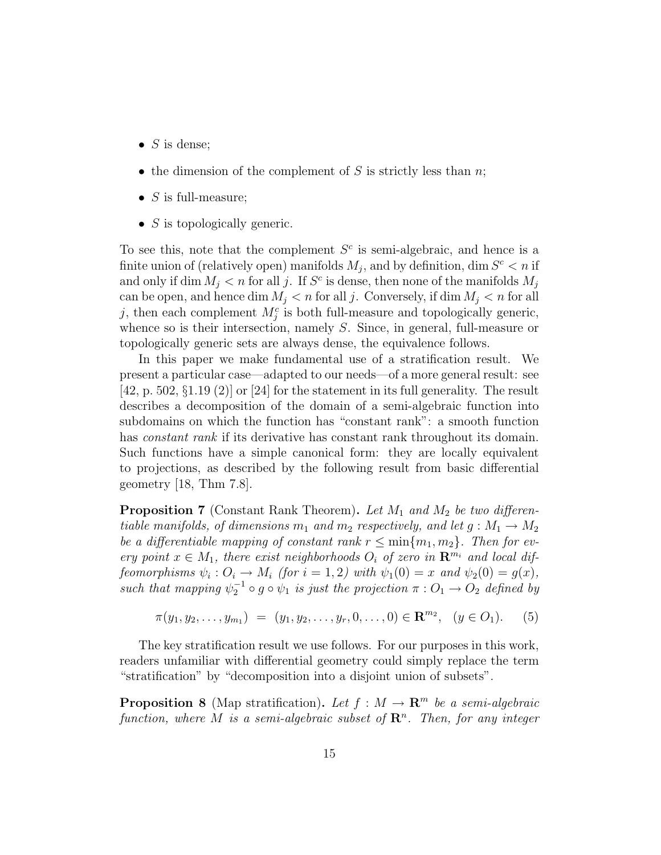- $S$  is dense;
- the dimension of the complement of S is strictly less than  $n$ ;
- $S$  is full-measure;
- $S$  is topologically generic.

To see this, note that the complement  $S<sup>c</sup>$  is semi-algebraic, and hence is a finite union of (relatively open) manifolds  $M_j$ , and by definition, dim  $S^c < n$  if and only if dim  $M_j < n$  for all j. If  $S^c$  is dense, then none of the manifolds  $M_j$ can be open, and hence dim  $M_i < n$  for all j. Conversely, if dim  $M_i < n$  for all j, then each complement  $M_j^c$  is both full-measure and topologically generic, whence so is their intersection, namely S. Since, in general, full-measure or topologically generic sets are always dense, the equivalence follows.

In this paper we make fundamental use of a stratification result. We present a particular case—adapted to our needs—of a more general result: see  $[42, p. 502, \S1.19(2)]$  or  $[24]$  for the statement in its full generality. The result describes a decomposition of the domain of a semi-algebraic function into subdomains on which the function has "constant rank": a smooth function has *constant rank* if its derivative has constant rank throughout its domain. Such functions have a simple canonical form: they are locally equivalent to projections, as described by the following result from basic differential geometry [18, Thm 7.8].

**Proposition 7** (Constant Rank Theorem). Let  $M_1$  and  $M_2$  be two differentiable manifolds, of dimensions  $m_1$  and  $m_2$  respectively, and let  $g : M_1 \to M_2$ be a differentiable mapping of constant rank  $r \leq \min\{m_1, m_2\}$ . Then for every point  $x \in M_1$ , there exist neighborhoods  $O_i$  of zero in  $\mathbb{R}^{m_i}$  and local diffeomorphisms  $\psi_i: O_i \to M_i$  (for  $i = 1, 2$ ) with  $\psi_1(0) = x$  and  $\psi_2(0) = g(x)$ , such that mapping  $\psi_2^{-1} \circ g \circ \psi_1$  is just the projection  $\pi: O_1 \to O_2$  defined by

$$
\pi(y_1, y_2, \dots, y_{m_1}) = (y_1, y_2, \dots, y_r, 0, \dots, 0) \in \mathbf{R}^{m_2}, \quad (y \in O_1). \tag{5}
$$

The key stratification result we use follows. For our purposes in this work, readers unfamiliar with differential geometry could simply replace the term "stratification" by "decomposition into a disjoint union of subsets".

**Proposition 8** (Map stratification). Let  $f : M \to \mathbb{R}^m$  be a semi-algebraic function, where M is a semi-algebraic subset of  $\mathbb{R}^n$ . Then, for any integer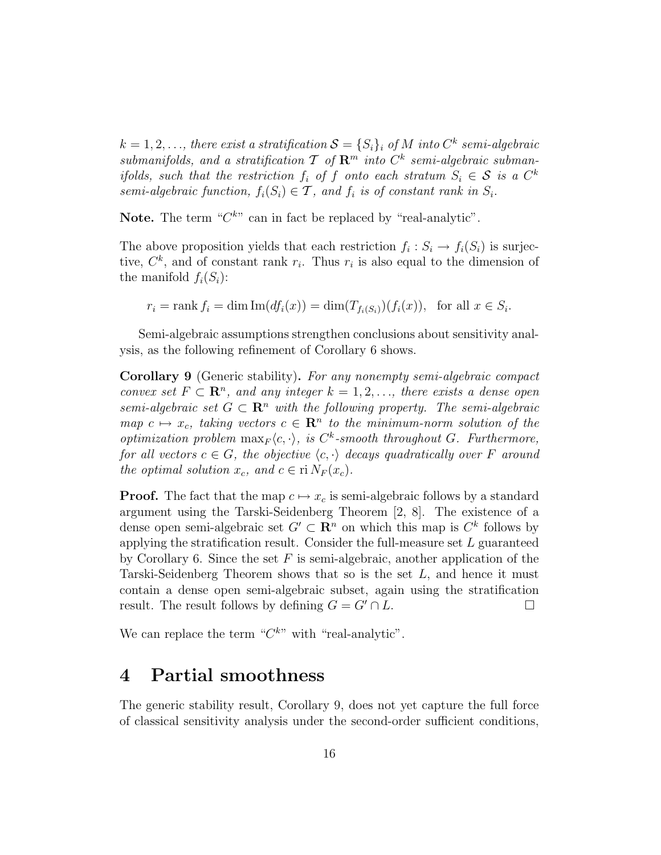$k = 1, 2, \ldots$ , there exist a stratification  $\mathcal{S} = \{S_i\}_i$  of  $M$  into  $C^k$  semi-algebraic submanifolds, and a stratification  $\mathcal T$  of  $\mathbb R^m$  into  $C^k$  semi-algebraic submanifolds, such that the restriction  $f_i$  of f onto each stratum  $S_i \in \mathcal{S}$  is a  $C^k$ semi-algebraic function,  $f_i(S_i) \in \mathcal{T}$ , and  $f_i$  is of constant rank in  $S_i$ .

Note. The term " $C^{k}$ " can in fact be replaced by "real-analytic".

The above proposition yields that each restriction  $f_i: S_i \to f_i(S_i)$  is surjective,  $C^k$ , and of constant rank  $r_i$ . Thus  $r_i$  is also equal to the dimension of the manifold  $f_i(S_i)$ :

$$
r_i = \text{rank } f_i = \dim \text{Im}(df_i(x)) = \dim (T_{f_i(S_i)})(f_i(x)), \text{ for all } x \in S_i.
$$

Semi-algebraic assumptions strengthen conclusions about sensitivity analysis, as the following refinement of Corollary 6 shows.

Corollary 9 (Generic stability). For any nonempty semi-algebraic compact convex set  $F \subset \mathbb{R}^n$ , and any integer  $k = 1, 2, \ldots$ , there exists a dense open semi-algebraic set  $G \subset \mathbb{R}^n$  with the following property. The semi-algebraic map  $c \mapsto x_c$ , taking vectors  $c \in \mathbb{R}^n$  to the minimum-norm solution of the optimization problem  $\max_F \langle c, \cdot \rangle$ , is  $C^k$ -smooth throughout G. Furthermore, for all vectors  $c \in G$ , the objective  $\langle c, \cdot \rangle$  decays quadratically over F around the optimal solution  $x_c$ , and  $c \in \text{ri } N_F(x_c)$ .

**Proof.** The fact that the map  $c \mapsto x_c$  is semi-algebraic follows by a standard argument using the Tarski-Seidenberg Theorem [2, 8]. The existence of a dense open semi-algebraic set  $G' \subset \mathbb{R}^n$  on which this map is  $C^k$  follows by applying the stratification result. Consider the full-measure set  $L$  guaranteed by Corollary 6. Since the set  $F$  is semi-algebraic, another application of the Tarski-Seidenberg Theorem shows that so is the set  $L$ , and hence it must contain a dense open semi-algebraic subset, again using the stratification result. The result follows by defining  $G = G' \cap L$ .

We can replace the term  $C^{k}$  with "real-analytic".

### 4 Partial smoothness

The generic stability result, Corollary 9, does not yet capture the full force of classical sensitivity analysis under the second-order sufficient conditions,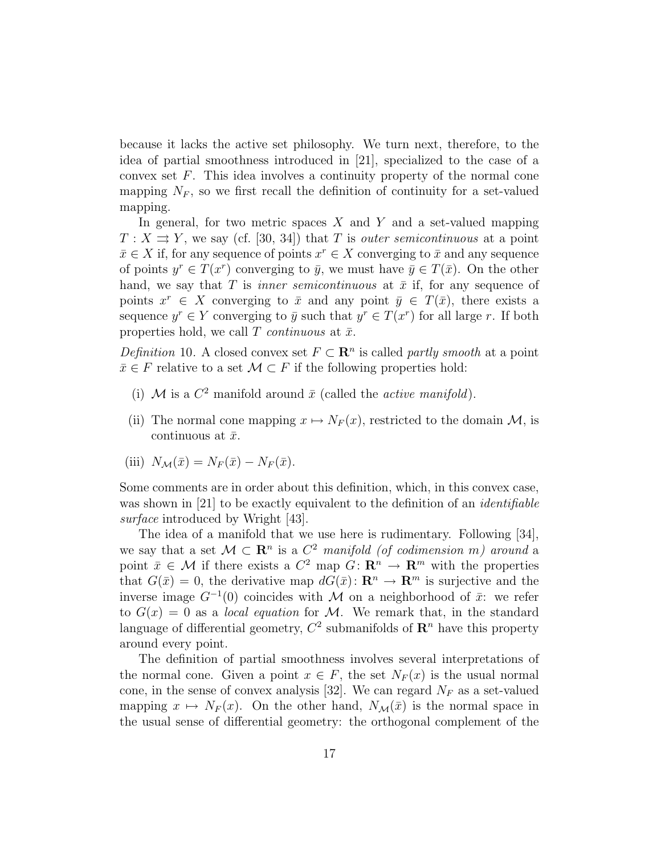because it lacks the active set philosophy. We turn next, therefore, to the idea of partial smoothness introduced in [21], specialized to the case of a convex set  $F$ . This idea involves a continuity property of the normal cone mapping  $N_F$ , so we first recall the definition of continuity for a set-valued mapping.

In general, for two metric spaces  $X$  and  $Y$  and a set-valued mapping  $T: X \rightrightarrows Y$ , we say (cf. [30, 34]) that T is *outer semicontinuous* at a point  $\bar{x} \in X$  if, for any sequence of points  $x^r \in X$  converging to  $\bar{x}$  and any sequence of points  $y^r \in T(x^r)$  converging to  $\bar{y}$ , we must have  $\bar{y} \in T(\bar{x})$ . On the other hand, we say that T is *inner semicontinuous* at  $\bar{x}$  if, for any sequence of points  $x^r \in X$  converging to  $\bar{x}$  and any point  $\bar{y} \in T(\bar{x})$ , there exists a sequence  $y^r \in Y$  converging to  $\bar{y}$  such that  $y^r \in T(x^r)$  for all large r. If both properties hold, we call T *continuous* at  $\bar{x}$ .

Definition 10. A closed convex set  $F \subset \mathbb{R}^n$  is called partly smooth at a point  $\bar{x} \in F$  relative to a set  $\mathcal{M} \subset F$  if the following properties hold:

- (i) M is a  $C^2$  manifold around  $\bar{x}$  (called the *active manifold*).
- (ii) The normal cone mapping  $x \mapsto N_F(x)$ , restricted to the domain M, is continuous at  $\bar{x}$ .

(iii) 
$$
N_{\mathcal{M}}(\bar{x}) = N_F(\bar{x}) - N_F(\bar{x}).
$$

Some comments are in order about this definition, which, in this convex case, was shown in [21] to be exactly equivalent to the definition of an *identifiable* surface introduced by Wright [43].

The idea of a manifold that we use here is rudimentary. Following [34], we say that a set  $\mathcal{M} \subset \mathbb{R}^n$  is a  $C^2$  manifold (of codimension m) around a point  $\bar{x} \in \mathcal{M}$  if there exists a  $C^2$  map  $G: \mathbb{R}^n \to \mathbb{R}^m$  with the properties that  $G(\bar{x}) = 0$ , the derivative map  $dG(\bar{x}): \mathbb{R}^n \to \mathbb{R}^m$  is surjective and the inverse image  $G^{-1}(0)$  coincides with M on a neighborhood of  $\bar{x}$ : we refer to  $G(x) = 0$  as a *local equation* for M. We remark that, in the standard language of differential geometry,  $C^2$  submanifolds of  $\mathbb{R}^n$  have this property around every point.

The definition of partial smoothness involves several interpretations of the normal cone. Given a point  $x \in F$ , the set  $N_F(x)$  is the usual normal cone, in the sense of convex analysis [32]. We can regard  $N_F$  as a set-valued mapping  $x \mapsto N_F(x)$ . On the other hand,  $N_{\mathcal{M}}(\bar{x})$  is the normal space in the usual sense of differential geometry: the orthogonal complement of the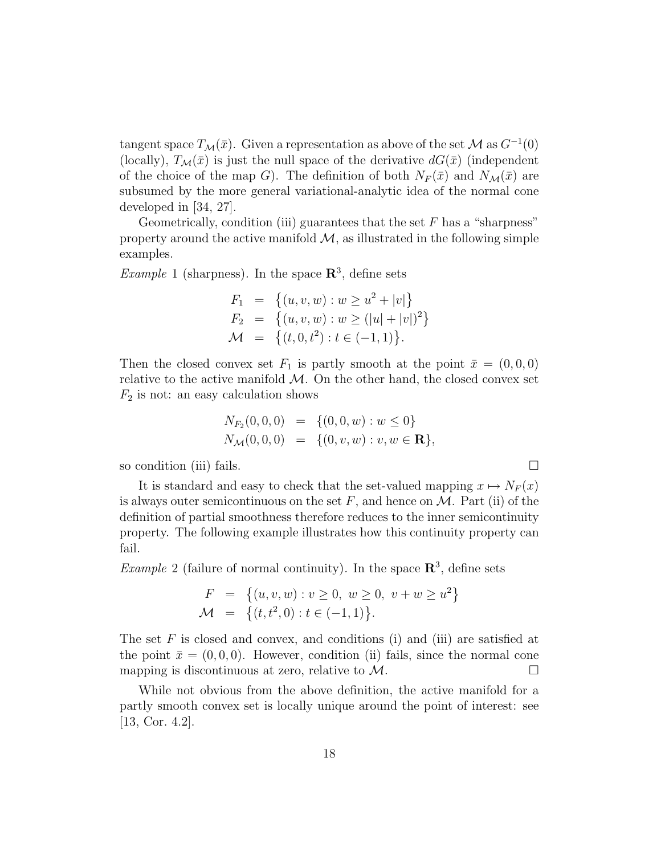tangent space  $T_{\mathcal{M}}(\bar{x})$ . Given a representation as above of the set  $\mathcal M$  as  $G^{-1}(0)$ (locally),  $T_M(\bar{x})$  is just the null space of the derivative  $dG(\bar{x})$  (independent of the choice of the map G). The definition of both  $N_F(\bar{x})$  and  $N_{\mathcal{M}}(\bar{x})$  are subsumed by the more general variational-analytic idea of the normal cone developed in [34, 27].

Geometrically, condition (iii) guarantees that the set  $F$  has a "sharpness" property around the active manifold  $\mathcal{M}$ , as illustrated in the following simple examples.

*Example* 1 (sharpness). In the space  $\mathbb{R}^3$ , define sets

$$
F_1 = \{(u, v, w) : w \ge u^2 + |v|\}
$$
  
\n
$$
F_2 = \{(u, v, w) : w \ge (|u| + |v|)^2\}
$$
  
\n
$$
\mathcal{M} = \{(t, 0, t^2) : t \in (-1, 1)\}.
$$

Then the closed convex set  $F_1$  is partly smooth at the point  $\bar{x} = (0, 0, 0)$ relative to the active manifold  $M$ . On the other hand, the closed convex set  $F_2$  is not: an easy calculation shows

$$
N_{F_2}(0,0,0) = \{(0,0,w) : w \le 0\}
$$
  

$$
N_{\mathcal{M}}(0,0,0) = \{(0,v,w) : v, w \in \mathbf{R}\},\
$$

so condition (iii) fails.  $\Box$ 

It is standard and easy to check that the set-valued mapping  $x \mapsto N_F(x)$ is always outer semicontinuous on the set  $F$ , and hence on  $\mathcal M$ . Part (ii) of the definition of partial smoothness therefore reduces to the inner semicontinuity property. The following example illustrates how this continuity property can fail.

*Example* 2 (failure of normal continuity). In the space  $\mathbb{R}^3$ , define sets

$$
F = \{(u, v, w) : v \ge 0, w \ge 0, v + w \ge u^2\}
$$
  

$$
\mathcal{M} = \{(t, t^2, 0) : t \in (-1, 1)\}.
$$

The set  $F$  is closed and convex, and conditions (i) and (iii) are satisfied at the point  $\bar{x} = (0, 0, 0)$ . However, condition (ii) fails, since the normal cone mapping is discontinuous at zero, relative to  $\mathcal M$ .

While not obvious from the above definition, the active manifold for a partly smooth convex set is locally unique around the point of interest: see [13, Cor. 4.2].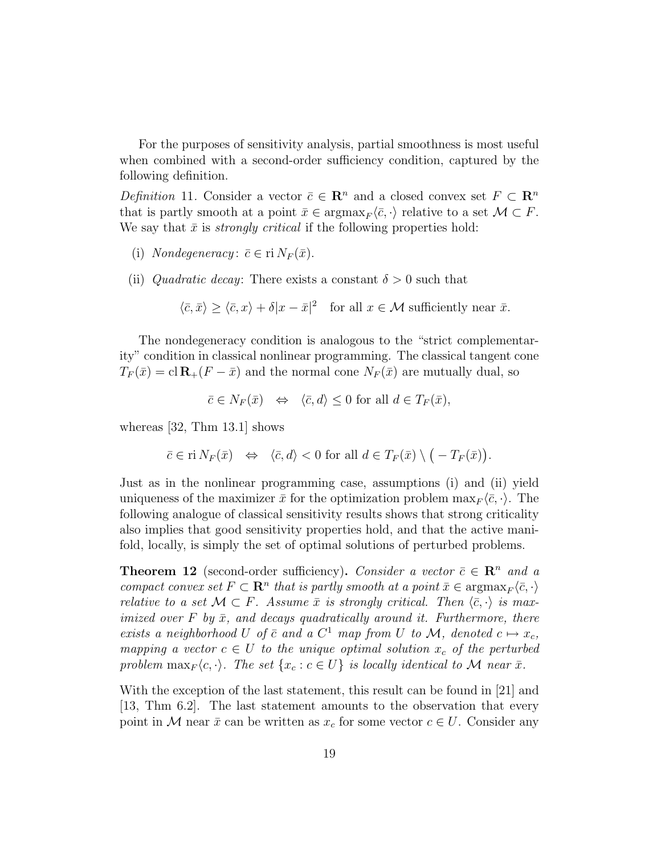For the purposes of sensitivity analysis, partial smoothness is most useful when combined with a second-order sufficiency condition, captured by the following definition.

Definition 11. Consider a vector  $\bar{c} \in \mathbb{R}^n$  and a closed convex set  $F \subset \mathbb{R}^n$ that is partly smooth at a point  $\bar{x} \in \text{argmax}_F \langle \bar{c}, \cdot \rangle$  relative to a set  $\mathcal{M} \subset F$ . We say that  $\bar{x}$  is *strongly critical* if the following properties hold:

- (i) Nondegeneracy:  $\bar{c} \in \text{ri } N_F(\bar{x})$ .
- (ii) Quadratic decay: There exists a constant  $\delta > 0$  such that

$$
\langle \bar{c}, \bar{x} \rangle \ge \langle \bar{c}, x \rangle + \delta |x - \bar{x}|^2
$$
 for all  $x \in \mathcal{M}$  sufficiently near  $\bar{x}$ .

The nondegeneracy condition is analogous to the "strict complementarity" condition in classical nonlinear programming. The classical tangent cone  $T_F(\bar{x}) = \text{cl } \mathbf{R}_+(F - \bar{x})$  and the normal cone  $N_F(\bar{x})$  are mutually dual, so

$$
\bar{c} \in N_F(\bar{x}) \iff \langle \bar{c}, d \rangle \le 0 \text{ for all } d \in T_F(\bar{x}),
$$

whereas [32, Thm 13.1] shows

$$
\bar{c} \in \text{ri } N_F(\bar{x}) \iff \langle \bar{c}, d \rangle < 0 \text{ for all } d \in T_F(\bar{x}) \setminus (-T_F(\bar{x})).
$$

Just as in the nonlinear programming case, assumptions (i) and (ii) yield uniqueness of the maximizer  $\bar{x}$  for the optimization problem  $\max_F \langle \bar{c}, \cdot \rangle$ . The following analogue of classical sensitivity results shows that strong criticality also implies that good sensitivity properties hold, and that the active manifold, locally, is simply the set of optimal solutions of perturbed problems.

**Theorem 12** (second-order sufficiency). Consider a vector  $\bar{c} \in \mathbb{R}^n$  and a compact convex set  $F \subset \mathbb{R}^n$  that is partly smooth at a point  $\bar{x} \in \operatorname{argmax}_F \langle \bar{c}, \cdot \rangle$ relative to a set  $\mathcal{M} \subset F$ . Assume  $\bar{x}$  is strongly critical. Then  $\langle \bar{c}, \cdot \rangle$  is maximized over F by  $\bar{x}$ , and decays quadratically around it. Furthermore, there exists a neighborhood U of  $\bar{c}$  and a  $C^1$  map from U to M, denoted  $c \mapsto x_c$ , mapping a vector  $c \in U$  to the unique optimal solution  $x_c$  of the perturbed problem  $\max_F \langle c, \cdot \rangle$ . The set  $\{x_c : c \in U\}$  is locally identical to M near  $\bar{x}$ .

With the exception of the last statement, this result can be found in [21] and [13, Thm 6.2]. The last statement amounts to the observation that every point in M near  $\bar{x}$  can be written as  $x_c$  for some vector  $c \in U$ . Consider any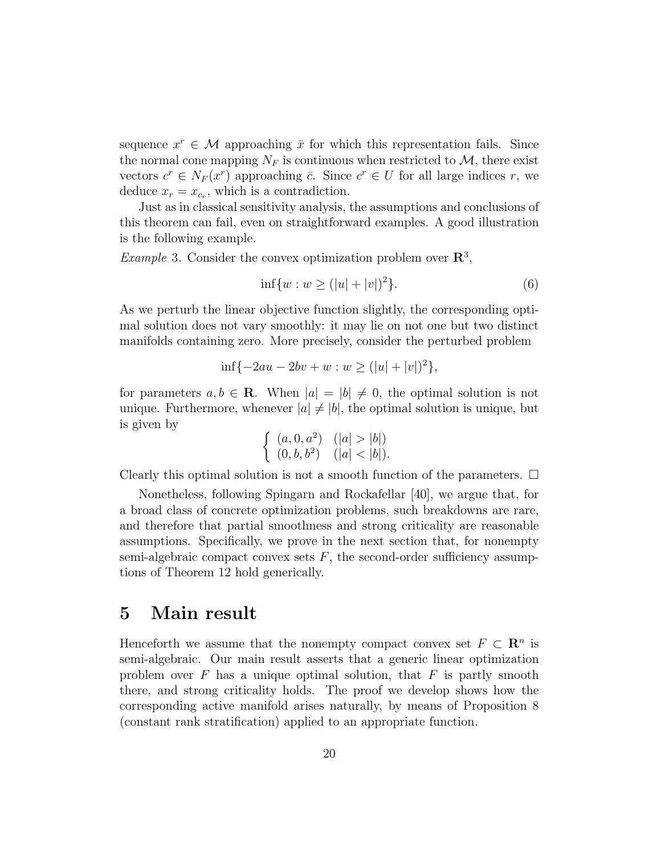sequence  $x^r \in \mathcal{M}$  approaching  $\bar{x}$  for which this representation fails. Since the normal cone mapping  $N_F$  is continuous when restricted to  $\mathcal{M}$ , there exist vectors  $c^r \in N_F(x^r)$  approaching  $\overline{c}$ . Since  $c^r \in U$  for all large indices r, we deduce  $x_r = x_{c_r}$ , which is a contradiction.

Just as in classical sensitivity analysis, the assumptions and conclusions of this theorem can fail, even on straightforward examples. A good illustration is the following example.

*Example* 3. Consider the convex optimization problem over  $\mathbb{R}^3$ ,

$$
\inf\{w : w \ge (|u| + |v|)^2\}.
$$
 (6)

As we perturb the linear objective function slightly, the corresponding optimal solution does not vary smoothly: it may lie on not one but two distinct manifolds containing zero. More precisely, consider the perturbed problem

$$
\inf\{-2au - 2bv + w : w \ge (|u| + |v|)^2\},\
$$

for parameters  $a, b \in \mathbf{R}$ . When  $|a| = |b| \neq 0$ , the optimal solution is not unique. Furthermore, whenever  $|a| \neq |b|$ , the optimal solution is unique, but is given by

$$
\begin{cases}\n(a, 0, a^2) & (|a| > |b|) \\
(0, b, b^2) & (|a| < |b|).\n\end{cases}
$$

Clearly this optimal solution is not a smooth function of the parameters.  $\Box$ 

Nonetheless, following Spingarn and Rockafellar [40], we argue that, for a broad class of concrete optimization problems, such breakdowns are rare, and therefore that partial smoothness and strong criticality are reasonable assumptions. Specifically, we prove in the next section that, for nonempty semi-algebraic compact convex sets  $F$ , the second-order sufficiency assumptions of Theorem 12 hold generically.

### 5 Main result

Henceforth we assume that the nonempty compact convex set  $F \subset \mathbb{R}^n$  is semi-algebraic. Our main result asserts that a generic linear optimization problem over  $F$  has a unique optimal solution, that  $F$  is partly smooth there, and strong criticality holds. The proof we develop shows how the corresponding active manifold arises naturally, by means of Proposition 8 (constant rank stratification) applied to an appropriate function.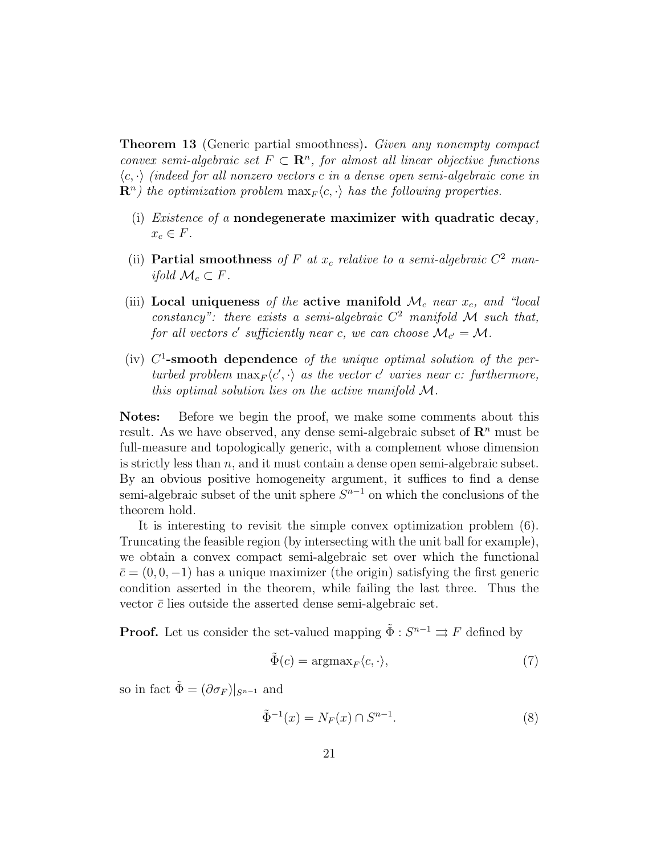**Theorem 13** (Generic partial smoothness). Given any nonempty compact convex semi-algebraic set  $F \subset \mathbb{R}^n$ , for almost all linear objective functions  $\langle c, \cdot \rangle$  (indeed for all nonzero vectors c in a dense open semi-algebraic cone in  $\mathbf{R}^n$ ) the optimization problem  $\max_F \langle c, \cdot \rangle$  has the following properties.

- (i) *Existence of a* nondegenerate maximizer with quadratic decay,  $x_c \in F.$
- (ii) Partial smoothness of F at  $x_c$  relative to a semi-algebraic  $C^2$  manifold  $\mathcal{M}_c \subset F$ .
- (iii) Local uniqueness of the active manifold  $\mathcal{M}_c$  near  $x_c$ , and "local constancy": there exists a semi-algebraic  $C^2$  manifold M such that, for all vectors  $c'$  sufficiently near c, we can choose  $\mathcal{M}_{c'} = \mathcal{M}$ .
- (iv)  $C^1$ -smooth dependence of the unique optimal solution of the perturbed problem  $\max_F \langle c', \cdot \rangle$  as the vector c' varies near c: furthermore, this optimal solution lies on the active manifold M.

Notes: Before we begin the proof, we make some comments about this result. As we have observed, any dense semi-algebraic subset of  $\mathbb{R}^n$  must be full-measure and topologically generic, with a complement whose dimension is strictly less than  $n$ , and it must contain a dense open semi-algebraic subset. By an obvious positive homogeneity argument, it suffices to find a dense semi-algebraic subset of the unit sphere  $S^{n-1}$  on which the conclusions of the theorem hold.

It is interesting to revisit the simple convex optimization problem (6). Truncating the feasible region (by intersecting with the unit ball for example), we obtain a convex compact semi-algebraic set over which the functional  $\bar{c} = (0, 0, -1)$  has a unique maximizer (the origin) satisfying the first generic condition asserted in the theorem, while failing the last three. Thus the vector  $\bar{c}$  lies outside the asserted dense semi-algebraic set.

**Proof.** Let us consider the set-valued mapping  $\tilde{\Phi}: S^{n-1} \rightrightarrows F$  defined by

$$
\tilde{\Phi}(c) = \operatorname{argmax}_{F} \langle c, \cdot \rangle,\tag{7}
$$

so in fact  $\tilde{\Phi} = (\partial \sigma_F)|_{S^{n-1}}$  and

$$
\tilde{\Phi}^{-1}(x) = N_F(x) \cap S^{n-1}.
$$
\n(8)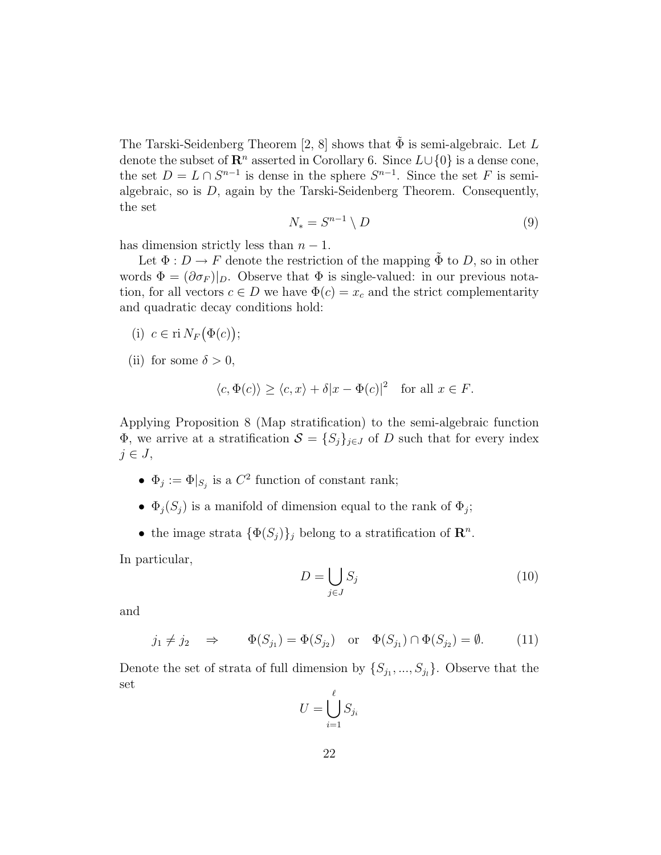The Tarski-Seidenberg Theorem [2, 8] shows that  $\Phi$  is semi-algebraic. Let L denote the subset of  $\mathbb{R}^n$  asserted in Corollary 6. Since  $L \cup \{0\}$  is a dense cone, the set  $D = L \cap S^{n-1}$  is dense in the sphere  $S^{n-1}$ . Since the set F is semialgebraic, so is D, again by the Tarski-Seidenberg Theorem. Consequently, the set

$$
N_* = S^{n-1} \setminus D \tag{9}
$$

has dimension strictly less than  $n-1$ .

Let  $\Phi: D \to F$  denote the restriction of the mapping  $\tilde{\Phi}$  to D, so in other words  $\Phi = (\partial \sigma_F)|_D$ . Observe that  $\Phi$  is single-valued: in our previous notation, for all vectors  $c \in D$  we have  $\Phi(c) = x_c$  and the strict complementarity and quadratic decay conditions hold:

- (i)  $c \in \mathrm{ri}\, N_F(\Phi(c));$
- (ii) for some  $\delta > 0$ ,

$$
\langle c, \Phi(c) \rangle \ge \langle c, x \rangle + \delta |x - \Phi(c)|^2 \quad \text{for all } x \in F.
$$

Applying Proposition 8 (Map stratification) to the semi-algebraic function  $\Phi$ , we arrive at a stratification  $\mathcal{S} = \{S_j\}_{j\in J}$  of D such that for every index  $j \in J$ ,

- $\Phi_j := \Phi|_{S_j}$  is a  $C^2$  function of constant rank;
- $\Phi_j(S_j)$  is a manifold of dimension equal to the rank of  $\Phi_j$ ;
- the image strata  $\{\Phi(S_j)\}_j$  belong to a stratification of  $\mathbb{R}^n$ .

In particular,

$$
D = \bigcup_{j \in J} S_j \tag{10}
$$

and

$$
j_1 \neq j_2 \quad \Rightarrow \qquad \Phi(S_{j_1}) = \Phi(S_{j_2}) \quad \text{or} \quad \Phi(S_{j_1}) \cap \Phi(S_{j_2}) = \emptyset. \tag{11}
$$

Denote the set of strata of full dimension by  $\{S_{j_1},...,S_{j_l}\}$ . Observe that the set

$$
U = \bigcup_{i=1}^{\ell} S_{j_i}
$$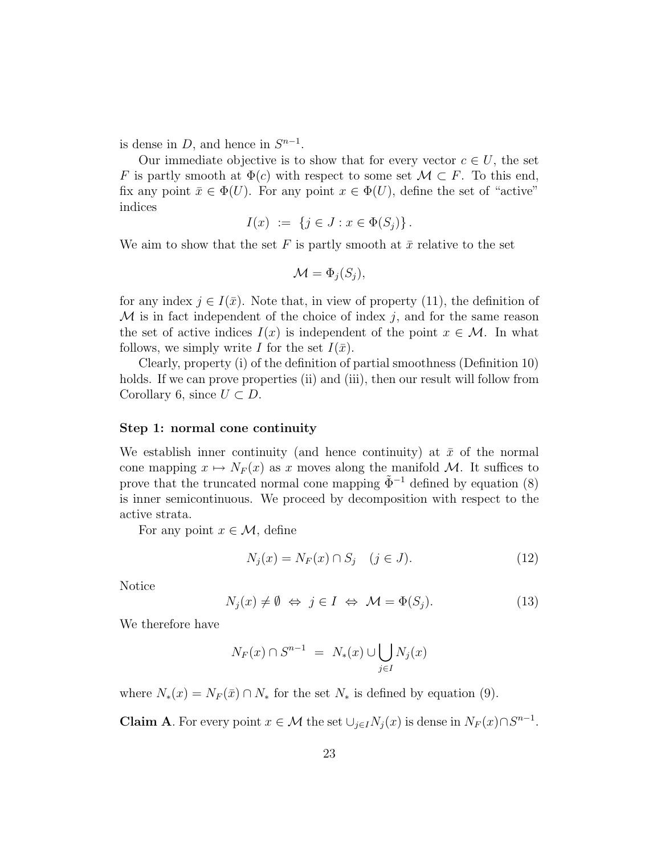is dense in  $D$ , and hence in  $S^{n-1}$ .

Our immediate objective is to show that for every vector  $c \in U$ , the set F is partly smooth at  $\Phi(c)$  with respect to some set  $\mathcal{M} \subset F$ . To this end, fix any point  $\bar{x} \in \Phi(U)$ . For any point  $x \in \Phi(U)$ , define the set of "active" indices

$$
I(x) := \{ j \in J : x \in \Phi(S_j) \}.
$$

We aim to show that the set F is partly smooth at  $\bar{x}$  relative to the set

$$
\mathcal{M} = \Phi_j(S_j),
$$

for any index  $j \in I(\bar{x})$ . Note that, in view of property (11), the definition of  $\mathcal M$  is in fact independent of the choice of index j, and for the same reason the set of active indices  $I(x)$  is independent of the point  $x \in \mathcal{M}$ . In what follows, we simply write I for the set  $I(\bar{x})$ .

Clearly, property (i) of the definition of partial smoothness (Definition 10) holds. If we can prove properties (ii) and (iii), then our result will follow from Corollary 6, since  $U \subset D$ .

#### Step 1: normal cone continuity

We establish inner continuity (and hence continuity) at  $\bar{x}$  of the normal cone mapping  $x \mapsto N_F(x)$  as x moves along the manifold M. It suffices to prove that the truncated normal cone mapping  $\tilde{\Phi}^{-1}$  defined by equation (8) is inner semicontinuous. We proceed by decomposition with respect to the active strata.

For any point  $x \in \mathcal{M}$ , define

$$
N_j(x) = N_F(x) \cap S_j \quad (j \in J). \tag{12}
$$

Notice

$$
N_j(x) \neq \emptyset \Leftrightarrow j \in I \Leftrightarrow \mathcal{M} = \Phi(S_j). \tag{13}
$$

We therefore have

$$
N_F(x) \cap S^{n-1} = N_*(x) \cup \bigcup_{j \in I} N_j(x)
$$

where  $N_*(x) = N_F(\bar{x}) \cap N_*$  for the set  $N_*$  is defined by equation (9).

**Claim A**. For every point  $x \in \mathcal{M}$  the set  $\bigcup_{j \in I} N_j(x)$  is dense in  $N_F(x) \cap S^{n-1}$ .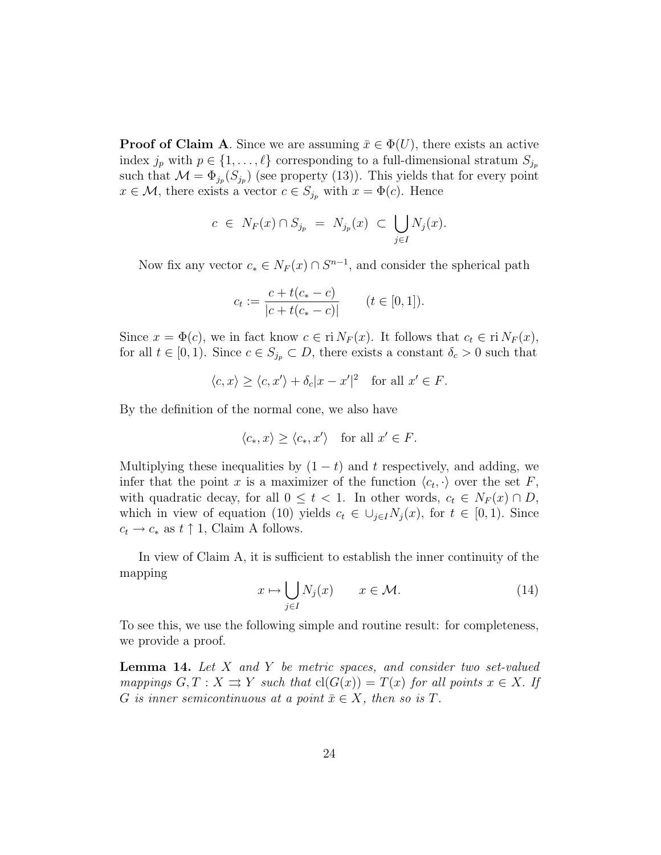**Proof of Claim A.** Since we are assuming  $\bar{x} \in \Phi(U)$ , there exists an active index  $j_p$  with  $p \in \{1, ..., \ell\}$  corresponding to a full-dimensional stratum  $S_{j_p}$ such that  $\mathcal{M} = \Phi_{j_p}(S_{j_p})$  (see property (13)). This yields that for every point  $x \in \mathcal{M}$ , there exists a vector  $c \in S_{j_p}$  with  $x = \Phi(c)$ . Hence

$$
c \in N_F(x) \cap S_{j_p} = N_{j_p}(x) \subset \bigcup_{j \in I} N_j(x).
$$

Now fix any vector  $c_* \in N_F(x) \cap S^{n-1}$ , and consider the spherical path

$$
c_t := \frac{c + t(c_* - c)}{|c + t(c_* - c)|} \qquad (t \in [0, 1]).
$$

Since  $x = \Phi(c)$ , we in fact know  $c \in \mathrm{ri} N_F(x)$ . It follows that  $c_t \in \mathrm{ri} N_F(x)$ , for all  $t \in [0,1)$ . Since  $c \in S_{j_p} \subset D$ , there exists a constant  $\delta_c > 0$  such that

$$
\langle c, x \rangle \ge \langle c, x' \rangle + \delta_c |x - x'|^2
$$
 for all  $x' \in F$ .

By the definition of the normal cone, we also have

$$
\langle c_*, x \rangle \ge \langle c_*, x' \rangle \quad \text{for all } x' \in F.
$$

Multiplying these inequalities by  $(1 - t)$  and t respectively, and adding, we infer that the point x is a maximizer of the function  $\langle c_t, \cdot \rangle$  over the set F, with quadratic decay, for all  $0 \leq t < 1$ . In other words,  $c_t \in N_F(x) \cap D$ , which in view of equation (10) yields  $c_t \in \bigcup_{j\in I} N_j(x)$ , for  $t \in [0,1)$ . Since  $c_t \to c_*$  as  $t \uparrow 1$ , Claim A follows.

In view of Claim A, it is sufficient to establish the inner continuity of the mapping

$$
x \mapsto \bigcup_{j \in I} N_j(x) \qquad x \in \mathcal{M}.\tag{14}
$$

To see this, we use the following simple and routine result: for completeness, we provide a proof.

**Lemma 14.** Let  $X$  and  $Y$  be metric spaces, and consider two set-valued mappings  $G, T : X \rightrightarrows Y$  such that  $cl(G(x)) = T(x)$  for all points  $x \in X$ . If G is inner semicontinuous at a point  $\bar{x} \in X$ , then so is T.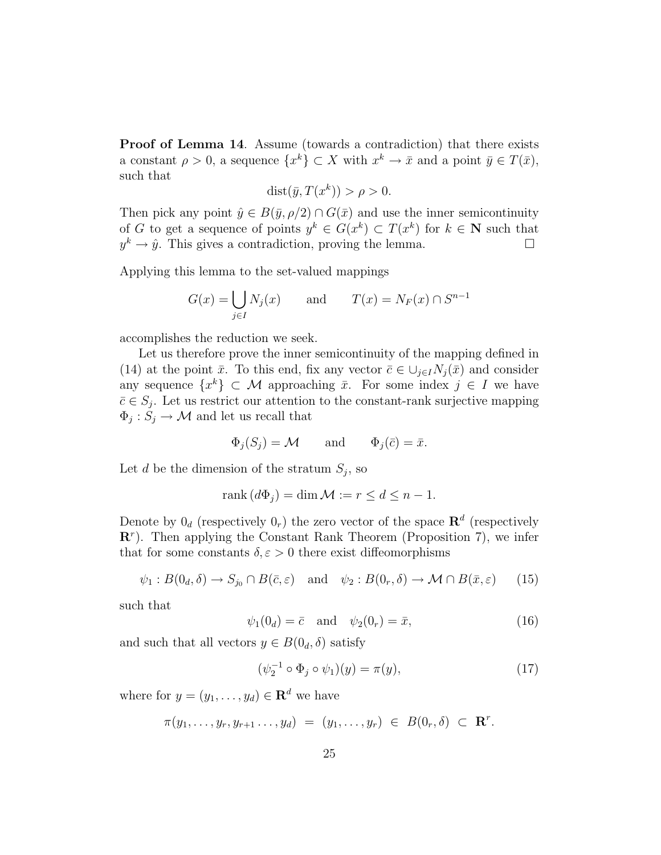Proof of Lemma 14. Assume (towards a contradiction) that there exists a constant  $\rho > 0$ , a sequence  $\{x^k\} \subset X$  with  $x^k \to \bar{x}$  and a point  $\bar{y} \in T(\bar{x})$ , such that

$$
dist(\bar{y}, T(x^k)) > \rho > 0.
$$

Then pick any point  $\hat{y} \in B(\bar{y}, \rho/2) \cap G(\bar{x})$  and use the inner semicontinuity of G to get a sequence of points  $y^k \in G(x^k) \subset T(x^k)$  for  $k \in \mathbb{N}$  such that  $y^k \to \hat{y}$ . This gives a contradiction, proving the lemma.

Applying this lemma to the set-valued mappings

$$
G(x) = \bigcup_{j \in I} N_j(x) \quad \text{and} \quad T(x) = N_F(x) \cap S^{n-1}
$$

accomplishes the reduction we seek.

Let us therefore prove the inner semicontinuity of the mapping defined in (14) at the point  $\bar{x}$ . To this end, fix any vector  $\bar{c} \in \bigcup_{j \in I} N_j(\bar{x})$  and consider any sequence  $\{x^k\} \subset \mathcal{M}$  approaching  $\bar{x}$ . For some index  $j \in I$  we have  $\bar{c} \in S_j$ . Let us restrict our attention to the constant-rank surjective mapping  $\Phi_j: S_j \to \mathcal{M}$  and let us recall that

$$
\Phi_j(S_j) = \mathcal{M}
$$
 and  $\Phi_j(\bar{c}) = \bar{x}$ .

Let d be the dimension of the stratum  $S_j$ , so

$$
rank(d\Phi_j) = \dim \mathcal{M} := r \le d \le n - 1.
$$

Denote by  $0_d$  (respectively  $0_r$ ) the zero vector of the space  $\mathbb{R}^d$  (respectively  $\mathbb{R}^r$ ). Then applying the Constant Rank Theorem (Proposition 7), we infer that for some constants  $\delta, \varepsilon > 0$  there exist diffeomorphisms

$$
\psi_1: B(0_d, \delta) \to S_{j_0} \cap B(\bar{c}, \varepsilon)
$$
 and  $\psi_2: B(0_r, \delta) \to \mathcal{M} \cap B(\bar{x}, \varepsilon)$  (15)

such that

$$
\psi_1(0_d) = \bar{c} \quad \text{and} \quad \psi_2(0_r) = \bar{x}, \tag{16}
$$

and such that all vectors  $y \in B(0_d, \delta)$  satisfy

$$
(\psi_2^{-1} \circ \Phi_j \circ \psi_1)(y) = \pi(y), \tag{17}
$$

where for  $y = (y_1, \ldots, y_d) \in \mathbb{R}^d$  we have

$$
\pi(y_1,\ldots,y_r,y_{r+1}\ldots,y_d) = (y_1,\ldots,y_r) \in B(0_r,\delta) \subset \mathbf{R}^r.
$$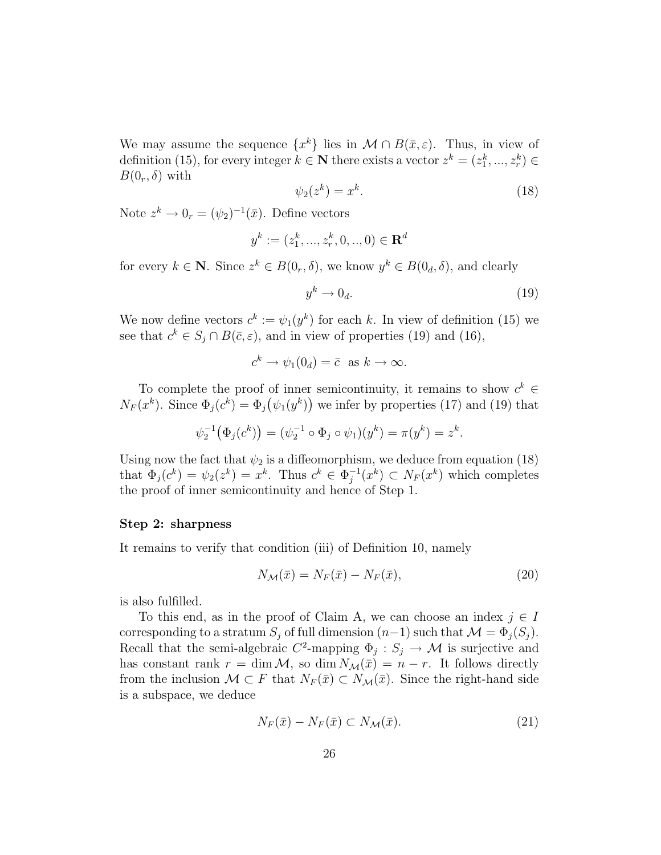We may assume the sequence  $\{x^k\}$  lies in  $\mathcal{M} \cap B(\bar{x}, \varepsilon)$ . Thus, in view of definition (15), for every integer  $k \in \mathbb{N}$  there exists a vector  $z^k = (z_1^k, ..., z_r^k) \in$  $B(0_r, \delta)$  with

$$
\psi_2(z^k) = x^k. \tag{18}
$$

Note  $z^k \to 0_r = (\psi_2)^{-1}(\bar{x})$ . Define vectors

$$
y^k := (z_1^k, ..., z_r^k, 0, ..., 0) \in \mathbf{R}^d
$$

for every  $k \in \mathbb{N}$ . Since  $z^k \in B(0_r, \delta)$ , we know  $y^k \in B(0_d, \delta)$ , and clearly

$$
y^k \to 0_d. \tag{19}
$$

We now define vectors  $c^k := \psi_1(y^k)$  for each k. In view of definition (15) we see that  $c^k \in S_j \cap B(\bar{c}, \varepsilon)$ , and in view of properties (19) and (16),

$$
c^k \to \psi_1(0_d) = \bar{c} \text{ as } k \to \infty.
$$

To complete the proof of inner semicontinuity, it remains to show  $c^k \in$  $N_F(x^k)$ . Since  $\Phi_j(c^k) = \Phi_j(\psi_1(y^k))$  we infer by properties (17) and (19) that

$$
\psi_2^{-1}(\Phi_j(c^k)) = (\psi_2^{-1} \circ \Phi_j \circ \psi_1)(y^k) = \pi(y^k) = z^k.
$$

Using now the fact that  $\psi_2$  is a diffeomorphism, we deduce from equation (18) that  $\Phi_j(c^k) = \psi_2(z^k) = x^k$ . Thus  $c^k \in \Phi_i^{-1}$  $j^{-1}(x^k) \subset N_F(x^k)$  which completes the proof of inner semicontinuity and hence of Step 1.

#### Step 2: sharpness

It remains to verify that condition (iii) of Definition 10, namely

$$
N_{\mathcal{M}}(\bar{x}) = N_F(\bar{x}) - N_F(\bar{x}),\tag{20}
$$

is also fulfilled.

To this end, as in the proof of Claim A, we can choose an index  $j \in I$ corresponding to a stratum  $S_j$  of full dimension  $(n-1)$  such that  $\mathcal{M} = \Phi_j(S_j)$ . Recall that the semi-algebraic  $C^2$ -mapping  $\Phi_j : S_j \to M$  is surjective and has constant rank  $r = \dim \mathcal{M}$ , so  $\dim N_{\mathcal{M}}(\bar{x}) = n - r$ . It follows directly from the inclusion  $\mathcal{M} \subset F$  that  $N_F(\bar{x}) \subset N_{\mathcal{M}}(\bar{x})$ . Since the right-hand side is a subspace, we deduce

$$
N_F(\bar{x}) - N_F(\bar{x}) \subset N_{\mathcal{M}}(\bar{x}). \tag{21}
$$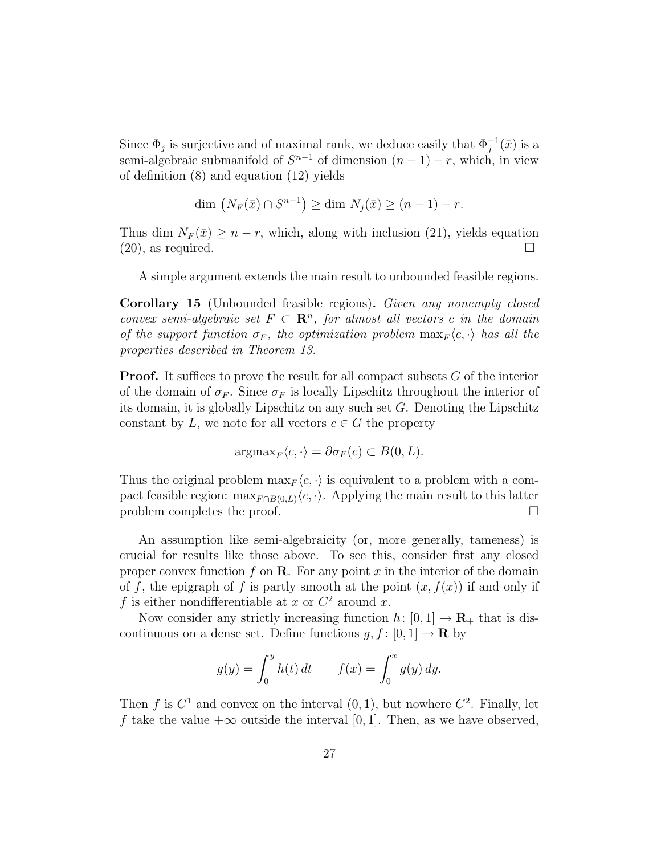Since  $\Phi_j$  is surjective and of maximal rank, we deduce easily that  $\Phi_j^{-1}(\bar{x})$  is a semi-algebraic submanifold of  $S^{n-1}$  of dimension  $(n-1) - r$ , which, in view of definition (8) and equation (12) yields

$$
\dim \left( N_F(\bar{x}) \cap S^{n-1} \right) \ge \dim N_j(\bar{x}) \ge (n-1) - r.
$$

Thus dim  $N_F(\bar{x}) \geq n-r$ , which, along with inclusion (21), yields equation  $(20)$ , as required.

A simple argument extends the main result to unbounded feasible regions.

Corollary 15 (Unbounded feasible regions). Given any nonempty closed convex semi-algebraic set  $F \subset \mathbb{R}^n$ , for almost all vectors c in the domain of the support function  $\sigma_F$ , the optimization problem  $\max_F \langle c, \cdot \rangle$  has all the properties described in Theorem 13.

**Proof.** It suffices to prove the result for all compact subsets G of the interior of the domain of  $\sigma_F$ . Since  $\sigma_F$  is locally Lipschitz throughout the interior of its domain, it is globally Lipschitz on any such set  $G$ . Denoting the Lipschitz constant by L, we note for all vectors  $c \in G$  the property

$$
\operatorname{argmax}_{F} \langle c, \cdot \rangle = \partial \sigma_F(c) \subset B(0, L).
$$

Thus the original problem  $\max_F \langle c, \cdot \rangle$  is equivalent to a problem with a compact feasible region:  $\max_{F \cap B(0,L)} \langle c, \cdot \rangle$ . Applying the main result to this latter problem completes the proof.

An assumption like semi-algebraicity (or, more generally, tameness) is crucial for results like those above. To see this, consider first any closed proper convex function f on  $\bf{R}$ . For any point x in the interior of the domain of f, the epigraph of f is partly smooth at the point  $(x, f(x))$  if and only if f is either nondifferentiable at x or  $C^2$  around x.

Now consider any strictly increasing function  $h: [0, 1] \to \mathbf{R}_{+}$  that is discontinuous on a dense set. Define functions  $g, f : [0, 1] \to \mathbf{R}$  by

$$
g(y) = \int_0^y h(t) dt
$$
  $f(x) = \int_0^x g(y) dy.$ 

Then f is  $C^1$  and convex on the interval  $(0, 1)$ , but nowhere  $C^2$ . Finally, let f take the value  $+\infty$  outside the interval [0, 1]. Then, as we have observed,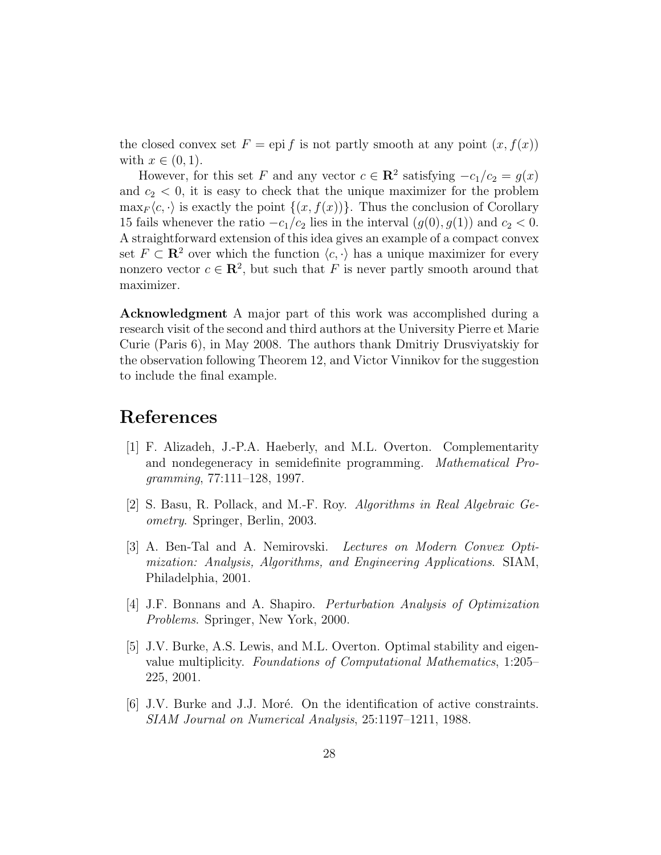the closed convex set  $F =$  epi f is not partly smooth at any point  $(x, f(x))$ with  $x \in (0,1)$ .

However, for this set F and any vector  $c \in \mathbb{R}^2$  satisfying  $-c_1/c_2 = g(x)$ and  $c_2 < 0$ , it is easy to check that the unique maximizer for the problem  $\max_F \langle c, \cdot \rangle$  is exactly the point  $\{(x, f(x))\}$ . Thus the conclusion of Corollary 15 fails whenever the ratio  $-c_1/c_2$  lies in the interval  $(g(0), g(1))$  and  $c_2 < 0$ . A straightforward extension of this idea gives an example of a compact convex set  $F \subset \mathbb{R}^2$  over which the function  $\langle c, \cdot \rangle$  has a unique maximizer for every nonzero vector  $c \in \mathbb{R}^2$ , but such that F is never partly smooth around that maximizer.

Acknowledgment A major part of this work was accomplished during a research visit of the second and third authors at the University Pierre et Marie Curie (Paris 6), in May 2008. The authors thank Dmitriy Drusviyatskiy for the observation following Theorem 12, and Victor Vinnikov for the suggestion to include the final example.

# References

- [1] F. Alizadeh, J.-P.A. Haeberly, and M.L. Overton. Complementarity and nondegeneracy in semidefinite programming. Mathematical Programming, 77:111–128, 1997.
- [2] S. Basu, R. Pollack, and M.-F. Roy. Algorithms in Real Algebraic Geometry. Springer, Berlin, 2003.
- [3] A. Ben-Tal and A. Nemirovski. Lectures on Modern Convex Optimization: Analysis, Algorithms, and Engineering Applications. SIAM, Philadelphia, 2001.
- [4] J.F. Bonnans and A. Shapiro. Perturbation Analysis of Optimization Problems. Springer, New York, 2000.
- [5] J.V. Burke, A.S. Lewis, and M.L. Overton. Optimal stability and eigenvalue multiplicity. Foundations of Computational Mathematics, 1:205– 225, 2001.
- [6] J.V. Burke and J.J. Moré. On the identification of active constraints. SIAM Journal on Numerical Analysis, 25:1197–1211, 1988.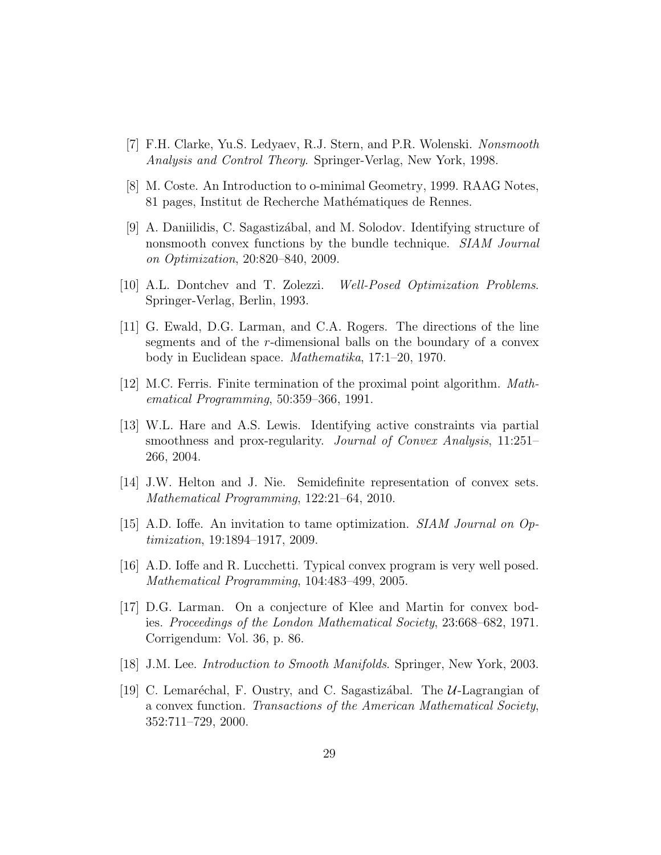- [7] F.H. Clarke, Yu.S. Ledyaev, R.J. Stern, and P.R. Wolenski. Nonsmooth Analysis and Control Theory. Springer-Verlag, New York, 1998.
- [8] M. Coste. An Introduction to o-minimal Geometry, 1999. RAAG Notes, 81 pages, Institut de Recherche Mathématiques de Rennes.
- [9] A. Daniilidis, C. Sagastiz´abal, and M. Solodov. Identifying structure of nonsmooth convex functions by the bundle technique. *SIAM Journal* on Optimization, 20:820–840, 2009.
- [10] A.L. Dontchev and T. Zolezzi. Well-Posed Optimization Problems. Springer-Verlag, Berlin, 1993.
- [11] G. Ewald, D.G. Larman, and C.A. Rogers. The directions of the line segments and of the r-dimensional balls on the boundary of a convex body in Euclidean space. Mathematika, 17:1–20, 1970.
- [12] M.C. Ferris. Finite termination of the proximal point algorithm. *Math*ematical Programming, 50:359–366, 1991.
- [13] W.L. Hare and A.S. Lewis. Identifying active constraints via partial smoothness and prox-regularity. Journal of Convex Analysis, 11:251– 266, 2004.
- [14] J.W. Helton and J. Nie. Semidefinite representation of convex sets. Mathematical Programming, 122:21–64, 2010.
- [15] A.D. Ioffe. An invitation to tame optimization. SIAM Journal on Optimization, 19:1894–1917, 2009.
- [16] A.D. Ioffe and R. Lucchetti. Typical convex program is very well posed. Mathematical Programming, 104:483–499, 2005.
- [17] D.G. Larman. On a conjecture of Klee and Martin for convex bodies. Proceedings of the London Mathematical Society, 23:668–682, 1971. Corrigendum: Vol. 36, p. 86.
- [18] J.M. Lee. Introduction to Smooth Manifolds. Springer, New York, 2003.
- [19] C. Lemaréchal, F. Oustry, and C. Sagastizábal. The  $U$ -Lagrangian of a convex function. Transactions of the American Mathematical Society, 352:711–729, 2000.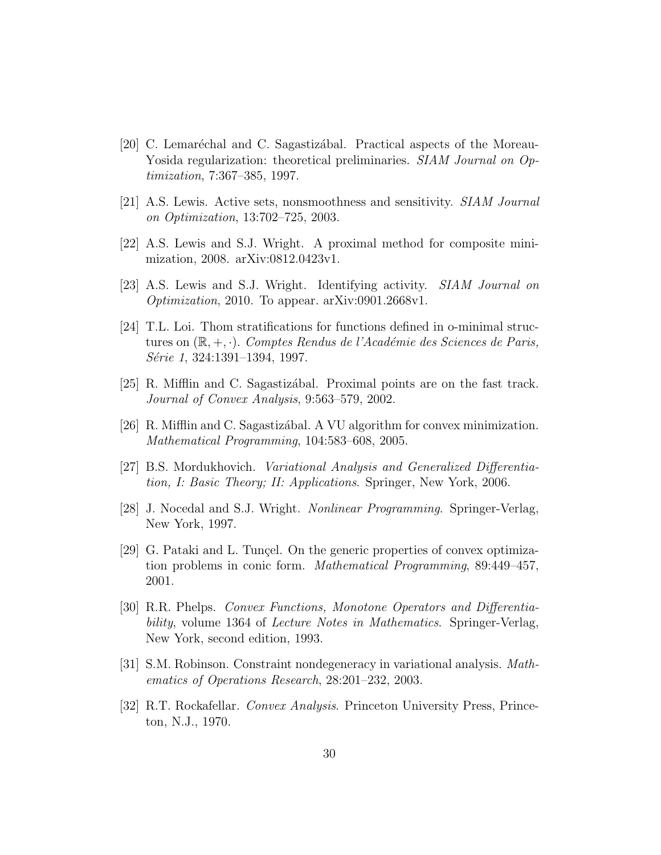- [20] C. Lemaréchal and C. Sagastizábal. Practical aspects of the Moreau-Yosida regularization: theoretical preliminaries. SIAM Journal on Optimization, 7:367–385, 1997.
- [21] A.S. Lewis. Active sets, nonsmoothness and sensitivity. SIAM Journal on Optimization, 13:702–725, 2003.
- [22] A.S. Lewis and S.J. Wright. A proximal method for composite minimization, 2008. arXiv:0812.0423v1.
- [23] A.S. Lewis and S.J. Wright. Identifying activity. SIAM Journal on Optimization, 2010. To appear. arXiv:0901.2668v1.
- [24] T.L. Loi. Thom stratifications for functions defined in o-minimal structures on  $(\mathbb{R}, +, \cdot)$ . Comptes Rendus de l'Académie des Sciences de Paris, Série 1, 324:1391–1394, 1997.
- [25] R. Mifflin and C. Sagastiz´abal. Proximal points are on the fast track. Journal of Convex Analysis, 9:563–579, 2002.
- [26] R. Mifflin and C. Sagastiz´abal. A VU algorithm for convex minimization. Mathematical Programming, 104:583–608, 2005.
- [27] B.S. Mordukhovich. Variational Analysis and Generalized Differentiation, I: Basic Theory; II: Applications. Springer, New York, 2006.
- [28] J. Nocedal and S.J. Wright. Nonlinear Programming. Springer-Verlag, New York, 1997.
- [29] G. Pataki and L. Tunçel. On the generic properties of convex optimization problems in conic form. Mathematical Programming, 89:449–457, 2001.
- [30] R.R. Phelps. Convex Functions, Monotone Operators and Differentiability, volume 1364 of *Lecture Notes in Mathematics*. Springer-Verlag, New York, second edition, 1993.
- [31] S.M. Robinson. Constraint nondegeneracy in variational analysis. Mathematics of Operations Research, 28:201–232, 2003.
- [32] R.T. Rockafellar. Convex Analysis. Princeton University Press, Princeton, N.J., 1970.